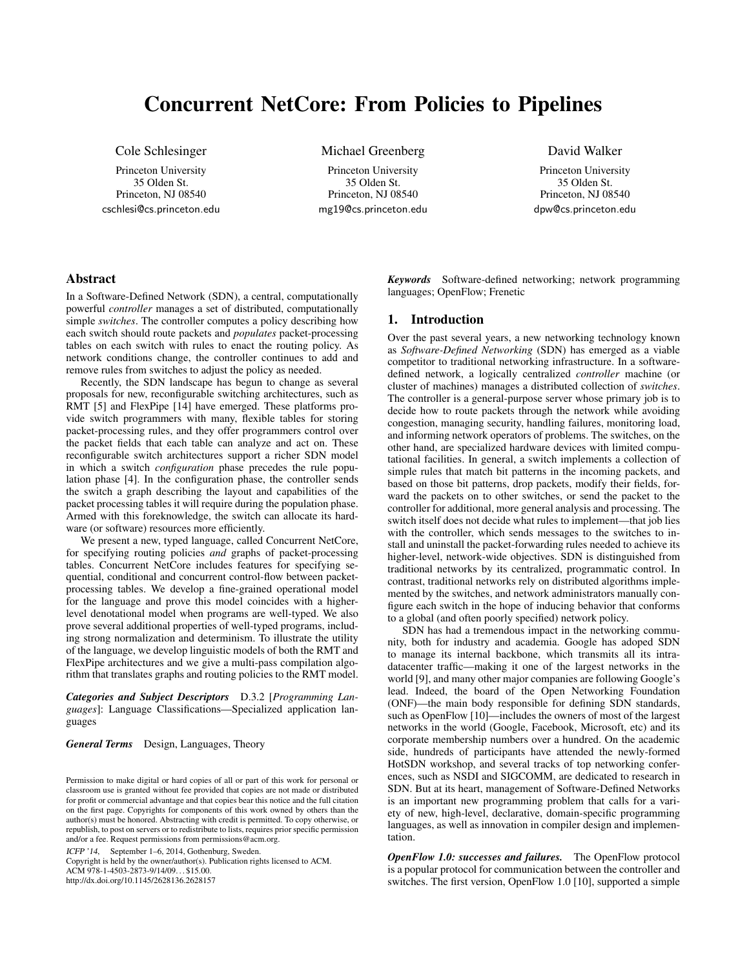# Concurrent NetCore: From Policies to Pipelines

Cole Schlesinger

Princeton University 35 Olden St. Princeton, NJ 08540 cschlesi@cs.princeton.edu Michael Greenberg

Princeton University 35 Olden St. Princeton, NJ 08540 mg19@cs.princeton.edu David Walker

Princeton University 35 Olden St. Princeton, NJ 08540 dpw@cs.princeton.edu

## Abstract

In a Software-Defined Network (SDN), a central, computationally powerful *controller* manages a set of distributed, computationally simple *switches*. The controller computes a policy describing how each switch should route packets and *populates* packet-processing tables on each switch with rules to enact the routing policy. As network conditions change, the controller continues to add and remove rules from switches to adjust the policy as needed.

Recently, the SDN landscape has begun to change as several proposals for new, reconfigurable switching architectures, such as RMT [5] and FlexPipe [14] have emerged. These platforms provide switch programmers with many, flexible tables for storing packet-processing rules, and they offer programmers control over the packet fields that each table can analyze and act on. These reconfigurable switch architectures support a richer SDN model in which a switch *configuration* phase precedes the rule population phase [4]. In the configuration phase, the controller sends the switch a graph describing the layout and capabilities of the packet processing tables it will require during the population phase. Armed with this foreknowledge, the switch can allocate its hardware (or software) resources more efficiently.

We present a new, typed language, called Concurrent NetCore, for specifying routing policies *and* graphs of packet-processing tables. Concurrent NetCore includes features for specifying sequential, conditional and concurrent control-flow between packetprocessing tables. We develop a fine-grained operational model for the language and prove this model coincides with a higherlevel denotational model when programs are well-typed. We also prove several additional properties of well-typed programs, including strong normalization and determinism. To illustrate the utility of the language, we develop linguistic models of both the RMT and FlexPipe architectures and we give a multi-pass compilation algorithm that translates graphs and routing policies to the RMT model.

*Categories and Subject Descriptors* D.3.2 [*Programming Languages*]: Language Classifications—Specialized application languages

*General Terms* Design, Languages, Theory

ICFP '14, September 1–6, 2014, Gothenburg, Sweden.

Copyright is held by the owner/author(s). Publication rights licensed to ACM. ACM 978-1-4503-2873-9/14/09... \$15.00. http://dx.doi.org/10.1145/2628136.2628157

*Keywords* Software-defined networking; network programming languages; OpenFlow; Frenetic

## 1. Introduction

Over the past several years, a new networking technology known as *Software-Defined Networking* (SDN) has emerged as a viable competitor to traditional networking infrastructure. In a softwaredefined network, a logically centralized *controller* machine (or cluster of machines) manages a distributed collection of *switches*. The controller is a general-purpose server whose primary job is to decide how to route packets through the network while avoiding congestion, managing security, handling failures, monitoring load, and informing network operators of problems. The switches, on the other hand, are specialized hardware devices with limited computational facilities. In general, a switch implements a collection of simple rules that match bit patterns in the incoming packets, and based on those bit patterns, drop packets, modify their fields, forward the packets on to other switches, or send the packet to the controller for additional, more general analysis and processing. The switch itself does not decide what rules to implement—that job lies with the controller, which sends messages to the switches to install and uninstall the packet-forwarding rules needed to achieve its higher-level, network-wide objectives. SDN is distinguished from traditional networks by its centralized, programmatic control. In contrast, traditional networks rely on distributed algorithms implemented by the switches, and network administrators manually configure each switch in the hope of inducing behavior that conforms to a global (and often poorly specified) network policy.

SDN has had a tremendous impact in the networking community, both for industry and academia. Google has adoped SDN to manage its internal backbone, which transmits all its intradatacenter traffic—making it one of the largest networks in the world [9], and many other major companies are following Google's lead. Indeed, the board of the Open Networking Foundation (ONF)—the main body responsible for defining SDN standards, such as OpenFlow [10]—includes the owners of most of the largest networks in the world (Google, Facebook, Microsoft, etc) and its corporate membership numbers over a hundred. On the academic side, hundreds of participants have attended the newly-formed HotSDN workshop, and several tracks of top networking conferences, such as NSDI and SIGCOMM, are dedicated to research in SDN. But at its heart, management of Software-Defined Networks is an important new programming problem that calls for a variety of new, high-level, declarative, domain-specific programming languages, as well as innovation in compiler design and implementation.

*OpenFlow 1.0: successes and failures.* The OpenFlow protocol is a popular protocol for communication between the controller and switches. The first version, OpenFlow 1.0 [10], supported a simple

Permission to make digital or hard copies of all or part of this work for personal or classroom use is granted without fee provided that copies are not made or distributed for profit or commercial advantage and that copies bear this notice and the full citation on the first page. Copyrights for components of this work owned by others than the author(s) must be honored. Abstracting with credit is permitted. To copy otherwise, or republish, to post on servers or to redistribute to lists, requires prior specific permission and/or a fee. Request permissions from permissions@acm.org.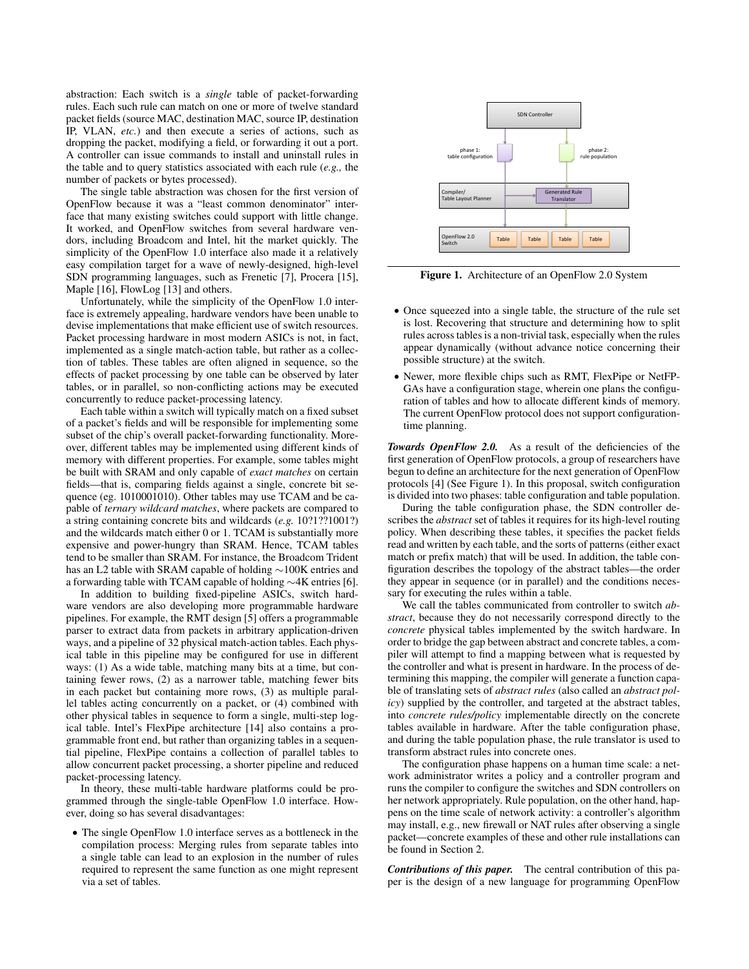abstraction: Each switch is a *single* table of packet-forwarding rules. Each such rule can match on one or more of twelve standard packet fields (source MAC, destination MAC, source IP, destination IP, VLAN, *etc.*) and then execute a series of actions, such as dropping the packet, modifying a field, or forwarding it out a port. A controller can issue commands to install and uninstall rules in the table and to query statistics associated with each rule (*e.g.,* the number of packets or bytes processed).

The single table abstraction was chosen for the first version of OpenFlow because it was a "least common denominator" interface that many existing switches could support with little change. It worked, and OpenFlow switches from several hardware vendors, including Broadcom and Intel, hit the market quickly. The simplicity of the OpenFlow 1.0 interface also made it a relatively easy compilation target for a wave of newly-designed, high-level SDN programming languages, such as Frenetic [7], Procera [15], Maple [16], FlowLog [13] and others.

Unfortunately, while the simplicity of the OpenFlow 1.0 interface is extremely appealing, hardware vendors have been unable to devise implementations that make efficient use of switch resources. Packet processing hardware in most modern ASICs is not, in fact, implemented as a single match-action table, but rather as a collection of tables. These tables are often aligned in sequence, so the effects of packet processing by one table can be observed by later tables, or in parallel, so non-conflicting actions may be executed concurrently to reduce packet-processing latency.

Each table within a switch will typically match on a fixed subset of a packet's fields and will be responsible for implementing some subset of the chip's overall packet-forwarding functionality. Moreover, different tables may be implemented using different kinds of memory with different properties. For example, some tables might be built with SRAM and only capable of *exact matches* on certain fields—that is, comparing fields against a single, concrete bit sequence (eg. 1010001010). Other tables may use TCAM and be capable of *ternary wildcard matches*, where packets are compared to a string containing concrete bits and wildcards (*e.g.* 10?1??1001?) and the wildcards match either 0 or 1. TCAM is substantially more expensive and power-hungry than SRAM. Hence, TCAM tables tend to be smaller than SRAM. For instance, the Broadcom Trident has an L2 table with SRAM capable of holding ∼100K entries and a forwarding table with TCAM capable of holding ∼4K entries [6].

In addition to building fixed-pipeline ASICs, switch hardware vendors are also developing more programmable hardware pipelines. For example, the RMT design [5] offers a programmable parser to extract data from packets in arbitrary application-driven ways, and a pipeline of 32 physical match-action tables. Each physical table in this pipeline may be configured for use in different ways: (1) As a wide table, matching many bits at a time, but containing fewer rows, (2) as a narrower table, matching fewer bits in each packet but containing more rows, (3) as multiple parallel tables acting concurrently on a packet, or (4) combined with other physical tables in sequence to form a single, multi-step logical table. Intel's FlexPipe architecture [14] also contains a programmable front end, but rather than organizing tables in a sequential pipeline, FlexPipe contains a collection of parallel tables to allow concurrent packet processing, a shorter pipeline and reduced packet-processing latency. including Broadcom and Intel in the maticial profile in the maticial profile in the maticial profile in the maticial profile in the maticial profile in the maticial profile in the maticial profile in the maticial profile

In theory, these multi-table hardware platforms could be programmed through the single-table OpenFlow 1.0 interface. However, doing so has several disadvantages:

• The single OpenFlow 1.0 interface serves as a bottleneck in the compilation process: Merging rules from separate tables into a single table can lead to an explosion in the number of rules required to represent the same function as one might represent



Figure 1. Architecture of an OpenFlow 2.0 System

- Once squeezed into a single table, the structure of the rule set is lost. Recovering that structure and determining how to split rules across tables is a non-trivial task, especially when the rules appear dynamically (without advance notice concerning their possible structure) at the switch.
- Newer, more flexible chips such as RMT, FlexPipe or NetFP-GAs have a configuration stage, wherein one plans the configuration of tables and how to allocate different kinds of memory. The current OpenFlow protocol does not support configurationtime planning.

**Towards OpenFlow 2.0.** As a result of the deficiencies of the first generation of OpenFlow protocols, a group of researchers have begun to define an architecture for the next generation of OpenFlow protocols [4] (See Figure 1). In this proposal, switch configuration is divided into two phases: table configuration and table population.

During the table configuration phase, the SDN controller describes the *abstract* set of tables it requires for its high-level routing policy. When describing these tables, it specifies the packet fields read and written by each table, and the sorts of patterns (either exact match or prefix match) that will be used. In addition, the table configuration describes the topology of the abstract tables—the order they appear in sequence (or in parallel) and the conditions necessary for executing the rules within a table.

We call the tables communicated from controller to switch *abstract*, because they do not necessarily correspond directly to the *concrete* physical tables implemented by the switch hardware. In order to bridge the gap between abstract and concrete tables, a compiler will attempt to find a mapping between what is requested by the controller and what is present in hardware. In the process of determining this mapping, the compiler will generate a function capable of translating sets of *abstract rules* (also called an *abstract policy*) supplied by the controller, and targeted at the abstract tables, into *concrete rules/policy* implementable directly on the concrete tables available in hardware. After the table configuration phase, and during the table population phase, the rule translator is used to transform abstract rules into concrete ones.

The configuration phase happens on a human time scale: a network administrator writes a policy and a controller program and runs the compiler to configure the switches and SDN controllers on her network appropriately. Rule population, on the other hand, happens on the time scale of network activity: a controller's algorithm may install, e.g., new firewall or NAT rules after observing a single packet—concrete examples of these and other rule installations can be found in Section 2.

*Contributions of this paper.* The central contribution of this paper is the design of a new language for programming OpenFlow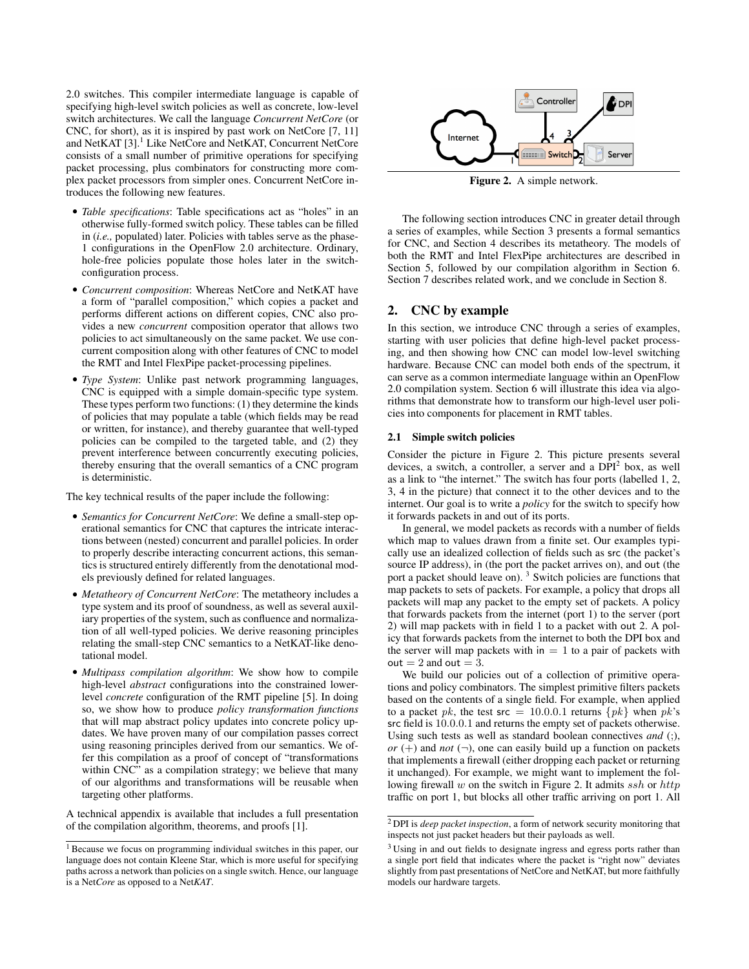2.0 switches. This compiler intermediate language is capable of specifying high-level switch policies as well as concrete, low-level switch architectures. We call the language *Concurrent NetCore* (or CNC, for short), as it is inspired by past work on NetCore [7, 11] and NetKAT [3].<sup>1</sup> Like NetCore and NetKAT, Concurrent NetCore consists of a small number of primitive operations for specifying packet processing, plus combinators for constructing more complex packet processors from simpler ones. Concurrent NetCore introduces the following new features.

- *Table specifications*: Table specifications act as "holes" in an otherwise fully-formed switch policy. These tables can be filled in (*i.e.,* populated) later. Policies with tables serve as the phase-1 configurations in the OpenFlow 2.0 architecture. Ordinary, hole-free policies populate those holes later in the switchconfiguration process.
- *Concurrent composition*: Whereas NetCore and NetKAT have a form of "parallel composition," which copies a packet and performs different actions on different copies, CNC also provides a new *concurrent* composition operator that allows two policies to act simultaneously on the same packet. We use concurrent composition along with other features of CNC to model the RMT and Intel FlexPipe packet-processing pipelines.
- *Type System*: Unlike past network programming languages, CNC is equipped with a simple domain-specific type system. These types perform two functions: (1) they determine the kinds of policies that may populate a table (which fields may be read or written, for instance), and thereby guarantee that well-typed policies can be compiled to the targeted table, and (2) they prevent interference between concurrently executing policies, thereby ensuring that the overall semantics of a CNC program is deterministic.

The key technical results of the paper include the following:

- *Semantics for Concurrent NetCore*: We define a small-step operational semantics for CNC that captures the intricate interactions between (nested) concurrent and parallel policies. In order to properly describe interacting concurrent actions, this semantics is structured entirely differently from the denotational models previously defined for related languages.
- *Metatheory of Concurrent NetCore*: The metatheory includes a type system and its proof of soundness, as well as several auxiliary properties of the system, such as confluence and normalization of all well-typed policies. We derive reasoning principles relating the small-step CNC semantics to a NetKAT-like denotational model.
- *Multipass compilation algorithm*: We show how to compile high-level *abstract* configurations into the constrained lowerlevel *concrete* configuration of the RMT pipeline [5]. In doing so, we show how to produce *policy transformation functions* that will map abstract policy updates into concrete policy updates. We have proven many of our compilation passes correct using reasoning principles derived from our semantics. We offer this compilation as a proof of concept of "transformations within CNC" as a compilation strategy; we believe that many of our algorithms and transformations will be reusable when targeting other platforms.

A technical appendix is available that includes a full presentation of the compilation algorithm, theorems, and proofs [1].



Figure 2. A simple network.

The following section introduces CNC in greater detail through a series of examples, while Section 3 presents a formal semantics for CNC, and Section 4 describes its metatheory. The models of both the RMT and Intel FlexPipe architectures are described in Section 5, followed by our compilation algorithm in Section 6. Section 7 describes related work, and we conclude in Section 8.

# 2. CNC by example

In this section, we introduce CNC through a series of examples, starting with user policies that define high-level packet processing, and then showing how CNC can model low-level switching hardware. Because CNC can model both ends of the spectrum, it can serve as a common intermediate language within an OpenFlow 2.0 compilation system. Section 6 will illustrate this idea via algorithms that demonstrate how to transform our high-level user policies into components for placement in RMT tables.

#### 2.1 Simple switch policies

Consider the picture in Figure 2. This picture presents several devices, a switch, a controller, a server and a DPI<sup>2</sup> box, as well as a link to "the internet." The switch has four ports (labelled 1, 2, 3, 4 in the picture) that connect it to the other devices and to the internet. Our goal is to write a *policy* for the switch to specify how it forwards packets in and out of its ports.

In general, we model packets as records with a number of fields which map to values drawn from a finite set. Our examples typically use an idealized collection of fields such as src (the packet's source IP address), in (the port the packet arrives on), and out (the port a packet should leave on). <sup>3</sup> Switch policies are functions that map packets to sets of packets. For example, a policy that drops all packets will map any packet to the empty set of packets. A policy that forwards packets from the internet (port 1) to the server (port 2) will map packets with in field 1 to a packet with out 2. A policy that forwards packets from the internet to both the DPI box and the server will map packets with  $in = 1$  to a pair of packets with  $out = 2$  and  $out = 3$ .

We build our policies out of a collection of primitive operations and policy combinators. The simplest primitive filters packets based on the contents of a single field. For example, when applied to a packet pk, the test  $src = 10.0.0.1$  returns  $\{pk\}$  when pk's src field is 10.0.0.1 and returns the empty set of packets otherwise. Using such tests as well as standard boolean connectives *and* (;),  $or (+)$  and *not*  $(\neg)$ , one can easily build up a function on packets that implements a firewall (either dropping each packet or returning it unchanged). For example, we might want to implement the following firewall  $w$  on the switch in Figure 2. It admits  $ssh$  or  $http$ traffic on port 1, but blocks all other traffic arriving on port 1. All

<sup>&</sup>lt;sup>1</sup> Because we focus on programming individual switches in this paper, our language does not contain Kleene Star, which is more useful for specifying paths across a network than policies on a single switch. Hence, our language is a Net*Core* as opposed to a Net*KAT*.

<sup>2</sup> DPI is *deep packet inspection*, a form of network security monitoring that inspects not just packet headers but their payloads as well.

<sup>&</sup>lt;sup>3</sup> Using in and out fields to designate ingress and egress ports rather than a single port field that indicates where the packet is "right now" deviates slightly from past presentations of NetCore and NetKAT, but more faithfully models our hardware targets.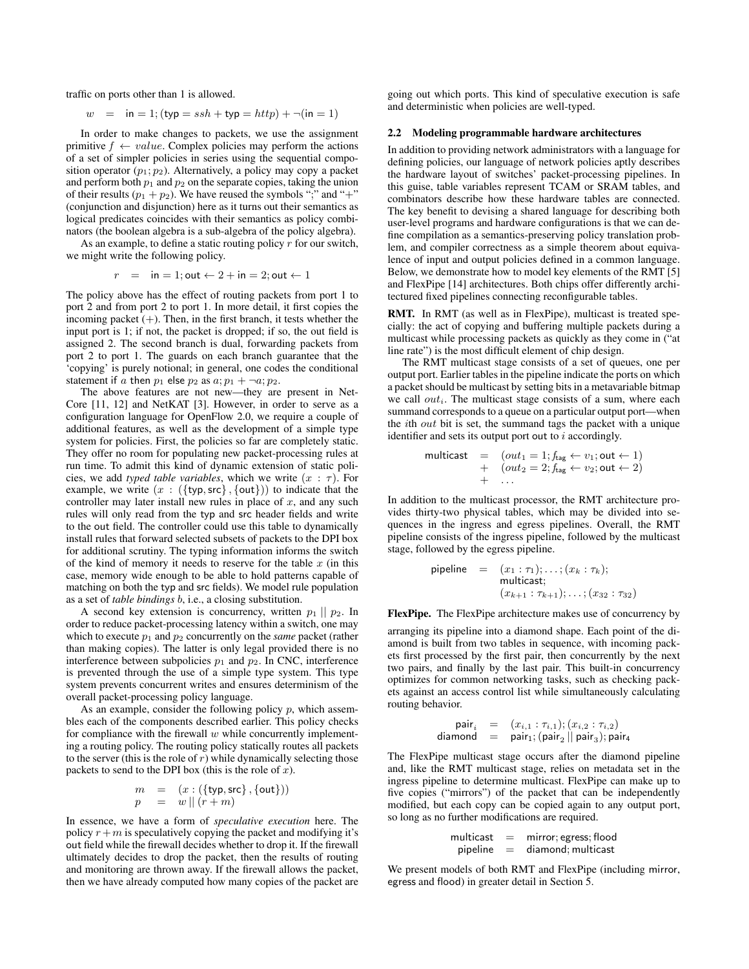traffic on ports other than 1 is allowed.

$$
w = in = 1
$$
;  $(\text{typ} = \text{ssh} + \text{typ} = \text{http}) + \neg(in = 1)$ 

In order to make changes to packets, we use the assignment primitive  $f \leftarrow value$ . Complex policies may perform the actions of a set of simpler policies in series using the sequential composition operator  $(p_1; p_2)$ . Alternatively, a policy may copy a packet and perform both  $p_1$  and  $p_2$  on the separate copies, taking the union of their results  $(p_1 + p_2)$ . We have reused the symbols ";" and "+" (conjunction and disjunction) here as it turns out their semantics as logical predicates coincides with their semantics as policy combinators (the boolean algebra is a sub-algebra of the policy algebra). As an example, to define a static routing policy  $r$  for our switch,

we might write the following policy.

$$
r = \text{in} = 1; \text{out} \leftarrow 2 + \text{in} = 2; \text{out} \leftarrow 1
$$

The policy above has the effect of routing packets from port 1 to port 2 and from port 2 to port 1. In more detail, it first copies the incoming packet  $(+)$ . Then, in the first branch, it tests whether the input port is 1; if not, the packet is dropped; if so, the out field is assigned 2. The second branch is dual, forwarding packets from port 2 to port 1. The guards on each branch guarantee that the 'copying' is purely notional; in general, one codes the conditional statement if a then  $p_1$  else  $p_2$  as  $a$ ;  $p_1 + \neg a$ ;  $p_2$ .

The above features are not new—they are present in Net-Core [11, 12] and NetKAT [3]. However, in order to serve as a configuration language for OpenFlow 2.0, we require a couple of additional features, as well as the development of a simple type system for policies. First, the policies so far are completely static. They offer no room for populating new packet-processing rules at run time. To admit this kind of dynamic extension of static policies, we add *typed table variables*, which we write  $(x : \tau)$ . For example, we write  $(x : ({\{ \text{typ}, \text{src} \}, {\{ \text{out} \}}))$  to indicate that the controller may later install new rules in place of  $x$ , and any such rules will only read from the typ and src header fields and write to the out field. The controller could use this table to dynamically install rules that forward selected subsets of packets to the DPI box for additional scrutiny. The typing information informs the switch of the kind of memory it needs to reserve for the table  $x$  (in this case, memory wide enough to be able to hold patterns capable of matching on both the typ and src fields). We model rule population as a set of *table bindings* b, i.e., a closing substitution.

A second key extension is concurrency, written  $p_1 \parallel p_2$ . In order to reduce packet-processing latency within a switch, one may which to execute  $p_1$  and  $p_2$  concurrently on the *same* packet (rather than making copies). The latter is only legal provided there is no interference between subpolicies  $p_1$  and  $p_2$ . In CNC, interference is prevented through the use of a simple type system. This type system prevents concurrent writes and ensures determinism of the overall packet-processing policy language.

As an example, consider the following policy  $p$ , which assembles each of the components described earlier. This policy checks for compliance with the firewall  $w$  while concurrently implementing a routing policy. The routing policy statically routes all packets to the server (this is the role of  $r$ ) while dynamically selecting those packets to send to the DPI box (this is the role of  $x$ ).

$$
\begin{array}{rcl}\nm &=& (x: (\{\text{typ, src}\}, \{\text{out}\})) \\
p &=& w \,|| \, (r+m)\n\end{array}
$$

In essence, we have a form of *speculative execution* here. The policy  $r+m$  is speculatively copying the packet and modifying it's out field while the firewall decides whether to drop it. If the firewall ultimately decides to drop the packet, then the results of routing and monitoring are thrown away. If the firewall allows the packet, then we have already computed how many copies of the packet are

going out which ports. This kind of speculative execution is safe and deterministic when policies are well-typed.

#### 2.2 Modeling programmable hardware architectures

In addition to providing network administrators with a language for defining policies, our language of network policies aptly describes the hardware layout of switches' packet-processing pipelines. In this guise, table variables represent TCAM or SRAM tables, and combinators describe how these hardware tables are connected. The key benefit to devising a shared language for describing both user-level programs and hardware configurations is that we can define compilation as a semantics-preserving policy translation problem, and compiler correctness as a simple theorem about equivalence of input and output policies defined in a common language. Below, we demonstrate how to model key elements of the RMT [5] and FlexPipe [14] architectures. Both chips offer differently architectured fixed pipelines connecting reconfigurable tables.

RMT. In RMT (as well as in FlexPipe), multicast is treated specially: the act of copying and buffering multiple packets during a multicast while processing packets as quickly as they come in ("at line rate") is the most difficult element of chip design.

The RMT multicast stage consists of a set of queues, one per output port. Earlier tables in the pipeline indicate the ports on which a packet should be multicast by setting bits in a metavariable bitmap we call  $out_i$ . The multicast stage consists of a sum, where each summand corresponds to a queue on a particular output port—when the ith out bit is set, the summand tags the packet with a unique identifier and sets its output port out to  $i$  accordingly.

multicast 
$$
= (out_1 = 1; f_{\text{tag}} \leftarrow v_1; \text{out} \leftarrow 1) + (out_2 = 2; f_{\text{tag}} \leftarrow v_2; \text{out} \leftarrow 2) + \cdots
$$

In addition to the multicast processor, the RMT architecture provides thirty-two physical tables, which may be divided into sequences in the ingress and egress pipelines. Overall, the RMT pipeline consists of the ingress pipeline, followed by the multicast stage, followed by the egress pipeline.

\n
$$
\text{pipeline} = (x_1 : \tau_1); \ldots; (x_k : \tau_k);
$$
\n $\text{multicast};$ \n $(x_{k+1} : \tau_{k+1}); \ldots; (x_{32} : \tau_{32})$ \n

FlexPipe. The FlexPipe architecture makes use of concurrency by

arranging its pipeline into a diamond shape. Each point of the diamond is built from two tables in sequence, with incoming packets first processed by the first pair, then concurrently by the next two pairs, and finally by the last pair. This built-in concurrency optimizes for common networking tasks, such as checking packets against an access control list while simultaneously calculating routing behavior.

$$
\begin{array}{rcl}\mathsf{pair}_i &=& (x_{i,1}:\tau_{i,1});(x_{i,2}:\tau_{i,2})\\ \mathsf{diamond} &=& \mathsf{pair}_1;(\mathsf{pair}_2 \,|| \, \mathsf{pair}_3); \mathsf{pair}_4\end{array}
$$

The FlexPipe multicast stage occurs after the diamond pipeline and, like the RMT multicast stage, relies on metadata set in the ingress pipeline to determine multicast. FlexPipe can make up to five copies ("mirrors") of the packet that can be independently modified, but each copy can be copied again to any output port, so long as no further modifications are required.

$$
multicast = mirror; egress; flood\npipeline = diamond; multicast
$$

We present models of both RMT and FlexPipe (including mirror, egress and flood) in greater detail in Section 5.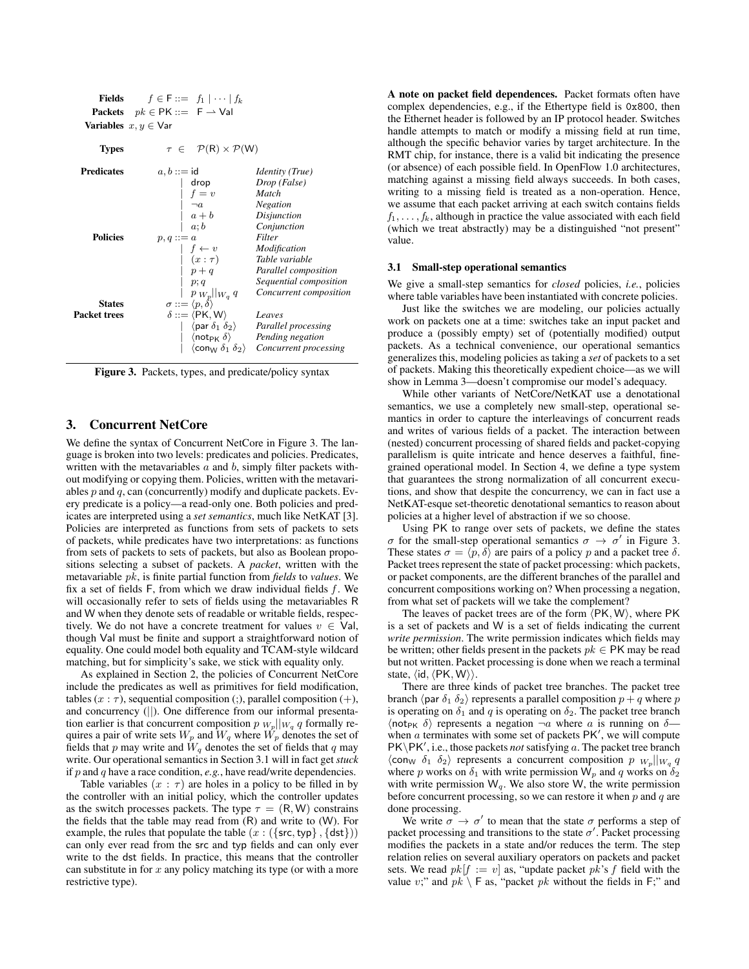|                     | <b>Fields</b> $f \in F ::= f_1   \cdots   f_k$                            |                                                                                                                                                                                                                                                                                                                             |
|---------------------|---------------------------------------------------------------------------|-----------------------------------------------------------------------------------------------------------------------------------------------------------------------------------------------------------------------------------------------------------------------------------------------------------------------------|
|                     | <b>Packets</b> $pk \in PK ::= F \rightarrow Val$                          |                                                                                                                                                                                                                                                                                                                             |
|                     | <b>Variables</b> $x, y \in \mathsf{Var}$                                  |                                                                                                                                                                                                                                                                                                                             |
| <b>Types</b>        | $\tau \in \mathcal{P}(\mathsf{R}) \times \mathcal{P}(\mathsf{W})$         |                                                                                                                                                                                                                                                                                                                             |
| <b>Predicates</b>   | $a, b ::= id$                                                             | <i>Identity (True)</i>                                                                                                                                                                                                                                                                                                      |
|                     | drop                                                                      | Drop (False)                                                                                                                                                                                                                                                                                                                |
|                     |                                                                           | Match                                                                                                                                                                                                                                                                                                                       |
|                     |                                                                           | <b>Negation</b>                                                                                                                                                                                                                                                                                                             |
|                     | $\begin{array}{c} \n\cdot & f = v \\ \mid & \neg a \\ a + b\n\end{array}$ | Disjunction                                                                                                                                                                                                                                                                                                                 |
|                     | a; b                                                                      | Conjunction                                                                                                                                                                                                                                                                                                                 |
| <b>Policies</b>     | $p, q ::= a$                                                              | Filter                                                                                                                                                                                                                                                                                                                      |
|                     | $\begin{array}{c} \mid & f \leftarrow v \\ (x:\tau) \end{array}$          | Modification                                                                                                                                                                                                                                                                                                                |
|                     |                                                                           | Table variable                                                                                                                                                                                                                                                                                                              |
|                     | $p+q$                                                                     | Parallel composition                                                                                                                                                                                                                                                                                                        |
|                     | p;q                                                                       | Sequential composition                                                                                                                                                                                                                                                                                                      |
|                     | $p_{W_p}$    $W_q$ $q$                                                    | Concurrent composition                                                                                                                                                                                                                                                                                                      |
| <b>States</b>       | $\sigma ::= \langle p, \delta \rangle$                                    |                                                                                                                                                                                                                                                                                                                             |
| <b>Packet trees</b> | $\delta ::= \langle \mathsf{PK}, \mathsf{W} \rangle$                      | Leaves                                                                                                                                                                                                                                                                                                                      |
|                     |                                                                           |                                                                                                                                                                                                                                                                                                                             |
|                     |                                                                           |                                                                                                                                                                                                                                                                                                                             |
|                     |                                                                           | $\begin{array}{ c c } \hline \langle \mathsf{par} \, \delta_1 \, \delta_2 \rangle & \quad \textit{Parallel processing} \ \langle \mathsf{not}_{\mathsf{PK}} \, \delta \rangle & \quad \textit{Pending negation} \ \langle \mathsf{conv} \, \delta_1 \, \delta_2 \rangle & \quad \textit{Concurrent processing} \end{array}$ |
|                     |                                                                           |                                                                                                                                                                                                                                                                                                                             |

Figure 3. Packets, types, and predicate/policy syntax

## 3. Concurrent NetCore

We define the syntax of Concurrent NetCore in Figure 3. The language is broken into two levels: predicates and policies. Predicates, written with the metavariables  $a$  and  $b$ , simply filter packets without modifying or copying them. Policies, written with the metavariables  $p$  and  $q$ , can (concurrently) modify and duplicate packets. Every predicate is a policy—a read-only one. Both policies and predicates are interpreted using a *set semantics*, much like NetKAT [3]. Policies are interpreted as functions from sets of packets to sets of packets, while predicates have two interpretations: as functions from sets of packets to sets of packets, but also as Boolean propositions selecting a subset of packets. A *packet*, written with the metavariable pk, is finite partial function from *fields* to *values*. We fix a set of fields  $F$ , from which we draw individual fields  $f$ . We will occasionally refer to sets of fields using the metavariables R and W when they denote sets of readable or writable fields, respectively. We do not have a concrete treatment for values  $v \in$  Val, though Val must be finite and support a straightforward notion of equality. One could model both equality and TCAM-style wildcard matching, but for simplicity's sake, we stick with equality only.

As explained in Section 2, the policies of Concurrent NetCore include the predicates as well as primitives for field modification, tables  $(x : \tau)$ , sequential composition (;), parallel composition (+), and concurrency (||). One difference from our informal presentation earlier is that concurrent composition  $p_{W_p}||_{W_q} q$  formally requires a pair of write sets  $W_p$  and  $W_q$  where  $\dot{W}_p$  denotes the set of fields that p may write and  $W_q$  denotes the set of fields that q may write. Our operational semantics in Section 3.1 will in fact get *stuck* if p and q have a race condition, *e.g.*, have read/write dependencies.

Table variables  $(x : \tau)$  are holes in a policy to be filled in by the controller with an initial policy, which the controller updates as the switch processes packets. The type  $\tau = (R, W)$  constrains the fields that the table may read from (R) and write to (W). For example, the rules that populate the table  $(x : ({\{ \text{src}, \text{typ} \}, \{ \text{dst} \})})$ can only ever read from the src and typ fields and can only ever write to the dst fields. In practice, this means that the controller can substitute in for  $x$  any policy matching its type (or with a more restrictive type).

A note on packet field dependences. Packet formats often have complex dependencies, e.g., if the Ethertype field is 0x800, then the Ethernet header is followed by an IP protocol header. Switches handle attempts to match or modify a missing field at run time, although the specific behavior varies by target architecture. In the RMT chip, for instance, there is a valid bit indicating the presence (or absence) of each possible field. In OpenFlow 1.0 architectures, matching against a missing field always succeeds. In both cases, writing to a missing field is treated as a non-operation. Hence, we assume that each packet arriving at each switch contains fields  $f_1, \ldots, f_k$ , although in practice the value associated with each field (which we treat abstractly) may be a distinguished "not present" value.

#### 3.1 Small-step operational semantics

We give a small-step semantics for *closed* policies, *i.e.*, policies where table variables have been instantiated with concrete policies.

Just like the switches we are modeling, our policies actually work on packets one at a time: switches take an input packet and produce a (possibly empty) set of (potentially modified) output packets. As a technical convenience, our operational semantics generalizes this, modeling policies as taking a *set* of packets to a set of packets. Making this theoretically expedient choice—as we will show in Lemma 3—doesn't compromise our model's adequacy.

While other variants of NetCore/NetKAT use a denotational semantics, we use a completely new small-step, operational semantics in order to capture the interleavings of concurrent reads and writes of various fields of a packet. The interaction between (nested) concurrent processing of shared fields and packet-copying parallelism is quite intricate and hence deserves a faithful, finegrained operational model. In Section 4, we define a type system that guarantees the strong normalization of all concurrent executions, and show that despite the concurrency, we can in fact use a NetKAT-esque set-theoretic denotational semantics to reason about policies at a higher level of abstraction if we so choose.

Using PK to range over sets of packets, we define the states σ for the small-step operational semantics  $\sigma \rightarrow \sigma'$  in Figure 3. These states  $\sigma = \langle p, \delta \rangle$  are pairs of a policy p and a packet tree  $\delta$ . Packet trees represent the state of packet processing: which packets, or packet components, are the different branches of the parallel and concurrent compositions working on? When processing a negation, from what set of packets will we take the complement?

The leaves of packet trees are of the form  $\langle PK, W \rangle$ , where PK is a set of packets and W is a set of fields indicating the current *write permission*. The write permission indicates which fields may be written; other fields present in the packets  $pk \in PK$  may be read but not written. Packet processing is done when we reach a terminal state,  $\langle id, \langle PK, W \rangle \rangle$ .

There are three kinds of packet tree branches. The packet tree branch  $\langle$ par  $\delta_1$   $\delta_2$  $\rangle$  represents a parallel composition  $p + q$  where  $p$ is operating on  $\delta_1$  and q is operating on  $\delta_2$ . The packet tree branch  $\langle$  not<sub>PK</sub>  $\delta$  represents a negation  $\neg a$  where a is running on  $\delta$  when  $a$  terminates with some set of packets  $PK'$ , we will compute PK\PK', i.e., those packets *not* satisfying a. The packet tree branch  $\langle$ con<sub>W</sub>  $\delta_1$   $\delta_2$  represents a concurrent composition p  $W_p||_{W_q}$  q where p works on  $\delta_1$  with write permission W<sub>p</sub> and q works on  $\delta_2$ with write permission  $W_q$ . We also store W, the write permission before concurrent processing, so we can restore it when  $p$  and  $q$  are done processing.

We write  $\sigma \rightarrow \sigma'$  to mean that the state  $\sigma$  performs a step of packet processing and transitions to the state  $\sigma'$ . Packet processing modifies the packets in a state and/or reduces the term. The step relation relies on several auxiliary operators on packets and packet sets. We read  $pk[f := v]$  as, "update packet pk's f field with the value v;" and  $pk \setminus F$  as, "packet pk without the fields in F;" and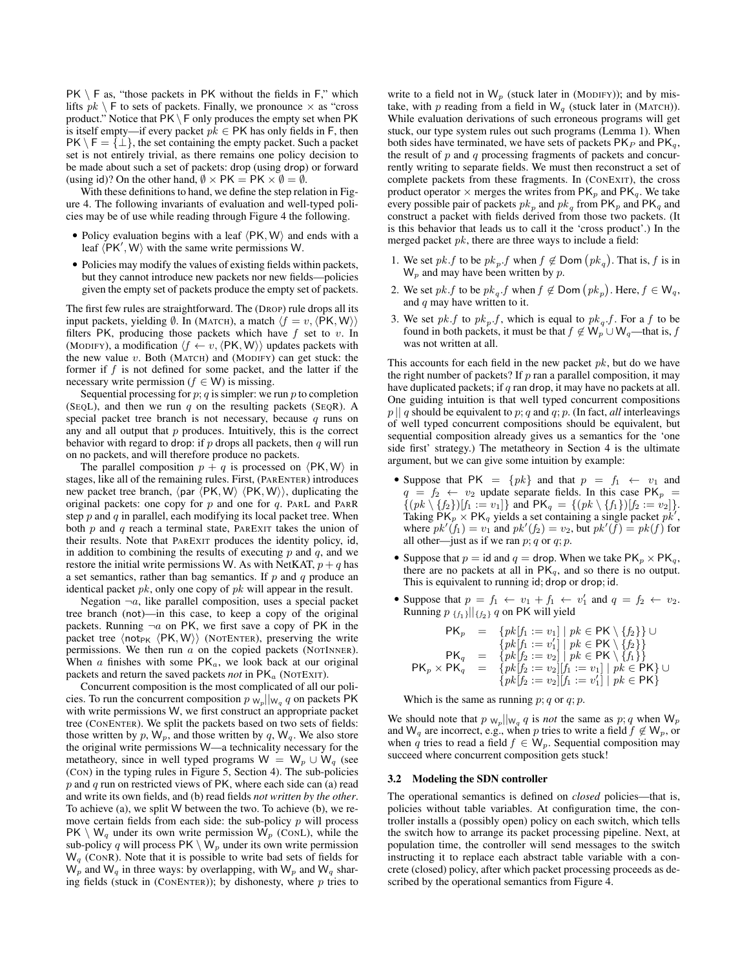$PK \setminus F$  as, "those packets in PK without the fields in F," which lifts  $pk \setminus F$  to sets of packets. Finally, we pronounce  $\times$  as "cross" product." Notice that PK \ F only produces the empty set when PK is itself empty—if every packet  $pk \in PK$  has only fields in F, then  $PK \setminus F = {\perp}$ , the set containing the empty packet. Such a packet set is not entirely trivial, as there remains one policy decision to be made about such a set of packets: drop (using drop) or forward (using id)? On the other hand,  $\emptyset \times PK = PK \times \emptyset = \emptyset$ .

With these definitions to hand, we define the step relation in Figure 4. The following invariants of evaluation and well-typed policies may be of use while reading through Figure 4 the following.

- Policy evaluation begins with a leaf  $\langle PK, W \rangle$  and ends with a leaf  $\langle$ PK', W $\rangle$  with the same write permissions W.
- Policies may modify the values of existing fields within packets, but they cannot introduce new packets nor new fields—policies given the empty set of packets produce the empty set of packets.

The first few rules are straightforward. The (DROP) rule drops all its input packets, yielding Ø. In (MATCH), a match  $\langle f = v, \langle PK, W \rangle \rangle$ filters PK, producing those packets which have  $f$  set to  $v$ . In (MODIFY), a modification  $\langle f \leftarrow v, \langle \mathsf{PK}, \mathsf{W} \rangle \rangle$  updates packets with the new value  $v$ . Both (MATCH) and (MODIFY) can get stuck: the former if  $f$  is not defined for some packet, and the latter if the necessary write permission ( $f \in W$ ) is missing.

Sequential processing for  $p$ ;  $q$  is simpler: we run  $p$  to completion (SEQL), and then we run q on the resulting packets (SEQR). A special packet tree branch is not necessary, because  $q$  runs on any and all output that  $p$  produces. Intuitively, this is the correct behavior with regard to drop: if  $p$  drops all packets, then  $q$  will run on no packets, and will therefore produce no packets.

The parallel composition  $p + q$  is processed on  $\langle PK, W \rangle$  in stages, like all of the remaining rules. First, (PARENTER) introduces new packet tree branch,  $\langle px, W \rangle$   $\langle PK, W \rangle$ , duplicating the original packets: one copy for  $p$  and one for  $q$ . PARL and PARR step  $p$  and  $q$  in parallel, each modifying its local packet tree. When both  $p$  and  $q$  reach a terminal state, PAREXIT takes the union of their results. Note that PAREXIT produces the identity policy, id, in addition to combining the results of executing  $p$  and  $q$ , and we restore the initial write permissions W. As with NetKAT,  $p + q$  has a set semantics, rather than bag semantics. If  $p$  and  $q$  produce an identical packet  $pk$ , only one copy of  $pk$  will appear in the result.

Negation  $\neg a$ , like parallel composition, uses a special packet tree branch (not)—in this case, to keep a copy of the original packets. Running  $\neg a$  on PK, we first save a copy of PK in the packet tree  $\langle not_{PK} \langle PK, W \rangle \rangle$  (NOTENTER), preserving the write permissions. We then run  $a$  on the copied packets (NOTINNER). When  $\alpha$  finishes with some  $PK_a$ , we look back at our original packets and return the saved packets *not* in  $PK_a$  (NOTEXIT).

Concurrent composition is the most complicated of all our policies. To run the concurrent composition  $p_{w_p}||_{w_q} q$  on packets PK with write permissions W, we first construct an appropriate packet tree (CONENTER). We split the packets based on two sets of fields: those written by p,  $W_p$ , and those written by q,  $W_q$ . We also store the original write permissions W—a technicality necessary for the metatheory, since in well typed programs  $W = W_p \cup W_q$  (see (CON) in the typing rules in Figure 5, Section 4). The sub-policies  $p$  and  $q$  run on restricted views of PK, where each side can (a) read and write its own fields, and (b) read fields *not written by the other*. To achieve (a), we split W between the two. To achieve (b), we remove certain fields from each side: the sub-policy  $p$  will process PK  $\setminus W_q$  under its own write permission  $W_p$  (CONL), while the sub-policy q will process  $PK \setminus W_p$  under its own write permission  $W_q$  (CONR). Note that it is possible to write bad sets of fields for  $W_p$  and  $W_q$  in three ways: by overlapping, with  $W_p$  and  $W_q$  sharing fields (stuck in (CONENTER)); by dishonesty, where  $p$  tries to

write to a field not in  $W_p$  (stuck later in (MODIFY)); and by mistake, with p reading from a field in  $W_q$  (stuck later in (MATCH)). While evaluation derivations of such erroneous programs will get stuck, our type system rules out such programs (Lemma 1). When both sides have terminated, we have sets of packets  $PK<sub>P</sub>$  and  $PK<sub>q</sub>$ , the result of  $p$  and  $q$  processing fragments of packets and concurrently writing to separate fields. We must then reconstruct a set of complete packets from these fragments. In (CONEXIT), the cross product operator  $\times$  merges the writes from  $PK_p$  and  $PK_q$ . We take every possible pair of packets  $pk_p$  and  $pk_q$  from  $PK_p$  and  $PK_q$  and construct a packet with fields derived from those two packets. (It is this behavior that leads us to call it the 'cross product'.) In the merged packet  $pk$ , there are three ways to include a field:

- 1. We set pk.f to be  $pk_p.f$  when  $f \notin \text{Dom}(pk_q)$ . That is, f is in  $W_p$  and may have been written by p.
- 2. We set  $pk.f$  to be  $pk_q.f$  when  $f \notin \mathsf{Dom}(pk_p)$ . Here,  $f \in \mathsf{W}_q$ , and  $q$  may have written to it.
- 3. We set pk.f to  $pk_p.f$ , which is equal to  $pk_q.f$ . For a f to be found in both packets, it must be that  $f \notin W_p \cup W_q$ —that is, f was not written at all.

This accounts for each field in the new packet  $pk$ , but do we have the right number of packets? If  $p$  ran a parallel composition, it may have duplicated packets; if  $q$  ran drop, it may have no packets at all. One guiding intuition is that well typed concurrent compositions  $p \mid q$  should be equivalent to p; q and q; p. (In fact, all interleavings of well typed concurrent compositions should be equivalent, but sequential composition already gives us a semantics for the 'one side first' strategy.) The metatheory in Section 4 is the ultimate argument, but we can give some intuition by example:

- Suppose that  $PK = \{pk\}$  and that  $p = f_1 \leftarrow v_1$  and  $q = f_2 \leftarrow v_2$  update separate fields. In this case PK<sub>p</sub> =  $\{(pk \setminus \{f_2\})[f_1 := v_1]\}$  and  $PK_q = \{(pk \setminus \{f_1\})[f_2 := v_2]\}.$ Taking  $\overline{PK}_p \times \overline{PK}_q$  yields a set containing a single packet  $pk'$ , where  $pk'(f_1) = v_1$  and  $pk'(f_2) = v_2$ , but  $pk'(f) = pk(f)$  for all other—just as if we ran  $p$ ; q or  $q$ ;  $p$ .
- Suppose that  $p = id$  and  $q = drop$ . When we take  $PK_p \times PK_q$ , there are no packets at all in  $PK_q$ , and so there is no output. This is equivalent to running id; drop or drop; id.
- Suppose that  $p = f_1 \leftarrow v_1 + f_1 \leftarrow v'_1$  and  $q = f_2 \leftarrow v_2$ . Running  $p_{\{f_1\}}||_{\{f_2\}} q$  on PK will yield

$$
\begin{array}{rcl} \mathsf{PK}_p & = & \{pk[f_1 := v_1] \mid pk \in \mathsf{PK} \setminus \{f_2\}\} \cup \\ & & \{pk[f_1 := v_1'] \mid pk \in \mathsf{PK} \setminus \{f_2\}\} \\ \mathsf{PK}_q & = & \{pk[f_2 := v_2] \mid pk \in \mathsf{PK} \setminus \{f_1\}\} \\ \mathsf{PK}_p \times \mathsf{PK}_q & = & \{pk[f_2 := v_2][f_1 := v_1] \mid pk \in \mathsf{PK}\} \cup \\ & & \{pk[f_2 := v_2][f_1 := v_1'] \mid pk \in \mathsf{PK}\} \end{array}
$$

Which is the same as running  $p$ ;  $q$  or  $q$ ;  $p$ .

We should note that  $p_{W_p}||_{W_q} q$  is *not* the same as  $p; q$  when  $W_p$ and W<sub>q</sub> are incorrect, e.g., when p tries to write a field  $f \notin W_p$ , or when q tries to read a field  $f \in W_p$ . Sequential composition may succeed where concurrent composition gets stuck!

#### 3.2 Modeling the SDN controller

The operational semantics is defined on *closed* policies—that is, policies without table variables. At configuration time, the controller installs a (possibly open) policy on each switch, which tells the switch how to arrange its packet processing pipeline. Next, at population time, the controller will send messages to the switch instructing it to replace each abstract table variable with a concrete (closed) policy, after which packet processing proceeds as described by the operational semantics from Figure 4.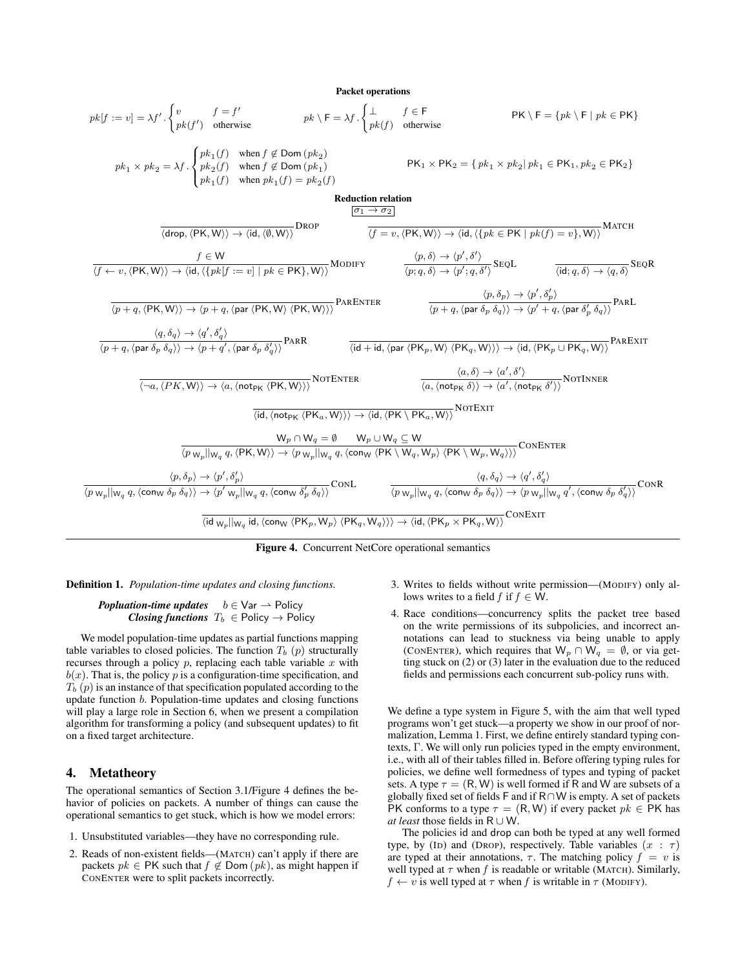#### Packet operations

$$
pk[f := v] = \lambda f' \cdot \begin{cases} v & f = f' \\ pk(f') & \text{otherwise} \end{cases}
$$

$$
pk \setminus F = \lambda f \cdot \begin{cases} \frac{1}{\mu k(f)} & \text{otherwise} \end{cases}
$$

$$
pk \setminus F = \{pk \setminus F | pk \in PK\}
$$

$$
pk \setminus F = \{pk \setminus F | pk \in PK\}
$$

$$
pk \setminus \{pk \in PK\}
$$

$$
pk \setminus \{pk \in PK\}
$$

$$
pk \setminus \{pk \in PK\}
$$

$$
pk \setminus \{pk \in PK\}
$$

$$
pk \setminus \{pk \in PK\}
$$

$$
pk \setminus \{pk \in PK\}
$$

$$
pk \setminus \{pk \in PK\}
$$

$$
pk \setminus \{pk \in PK\}
$$

$$
pk \setminus \{pk \in PK\}
$$

$$
pk \setminus \{pk \in PK\}
$$

$$
pk \setminus \{pk \in PK\}
$$

$$
pk \setminus \{pk \in PK\}
$$

$$
pk \setminus \{pk \in PK\}
$$

$$
pk \setminus \{pk \in PK\}
$$

$$
pk \setminus \{pk \in PK\}
$$

$$
pk \setminus \{pk \setminus \{pk \setminus RF\}
$$

$$
pk \setminus \{pk \setminus RF\}
$$

$$
pk \setminus \{pk \setminus RF\}
$$

$$
pk \setminus \{pk \setminus RF\}
$$

$$
pk \setminus \{pk \setminus RF\}
$$

$$
k \setminus \{pk \setminus RF\}
$$

$$
k \setminus \{pk \setminus RF\}
$$

$$
k \setminus \{pk \setminus RF\}
$$

$$
k \setminus \{pk \setminus RF\}
$$

$$
k \setminus \{pk \setminus RF\}
$$

$$
k \setminus \{pk \setminus RF\}
$$

$$
k \setminus \{pk \setminus RF\}
$$

$$
k \setminus \{pk \setminus RF\}
$$

$$
k \setminus \{pk \setminus RF\}
$$

$$
k \setminus \{pk \setminus RF\}
$$

$$
k \setminus \{pk \setminus RF\}
$$

$$
k \setminus \
$$

Figure 4. Concurrent NetCore operational semantics

Definition 1. *Population-time updates and closing functions.*

*Popluation-time updates*  $b \in \text{Var} \rightarrow$  Policy *Closing functions*  $T_b \in$  Policy  $\rightarrow$  Policy

We model population-time updates as partial functions mapping table variables to closed policies. The function  $T_b$  (p) structurally recurses through a policy  $p$ , replacing each table variable  $x$  with  $b(x)$ . That is, the policy p is a configuration-time specification, and  $T_b$  (p) is an instance of that specification populated according to the update function b. Population-time updates and closing functions will play a large role in Section 6, when we present a compilation algorithm for transforming a policy (and subsequent updates) to fit on a fixed target architecture.

## 4. Metatheory

The operational semantics of Section 3.1/Figure 4 defines the behavior of policies on packets. A number of things can cause the operational semantics to get stuck, which is how we model errors:

- 1. Unsubstituted variables—they have no corresponding rule.
- 2. Reads of non-existent fields—(MATCH) can't apply if there are packets  $pk \in PK$  such that  $f \notin Dom (pk)$ , as might happen if CONENTER were to split packets incorrectly.
- 3. Writes to fields without write permission—(MODIFY) only allows writes to a field  $f$  if  $f \in W$ .
- 4. Race conditions—concurrency splits the packet tree based on the write permissions of its subpolicies, and incorrect annotations can lead to stuckness via being unable to apply (CONENTER), which requires that  $W_p \cap W_q = \emptyset$ , or via getting stuck on (2) or (3) later in the evaluation due to the reduced fields and permissions each concurrent sub-policy runs with.

We define a type system in Figure 5, with the aim that well typed programs won't get stuck—a property we show in our proof of normalization, Lemma 1. First, we define entirely standard typing contexts, Γ. We will only run policies typed in the empty environment, i.e., with all of their tables filled in. Before offering typing rules for policies, we define well formedness of types and typing of packet sets. A type  $\tau = (R, W)$  is well formed if R and W are subsets of a globally fixed set of fields F and if R∩W is empty. A set of packets PK conforms to a type  $\tau = (R, W)$  if every packet  $pk \in PK$  has *at least* those fields in R ∪ W.

The policies id and drop can both be typed at any well formed type, by (ID) and (DROP), respectively. Table variables  $(x : \tau)$ are typed at their annotations,  $\tau$ . The matching policy  $f = v$  is well typed at  $\tau$  when f is readable or writable (MATCH). Similarly,  $f \leftarrow v$  is well typed at  $\tau$  when f is writable in  $\tau$  (MODIFY).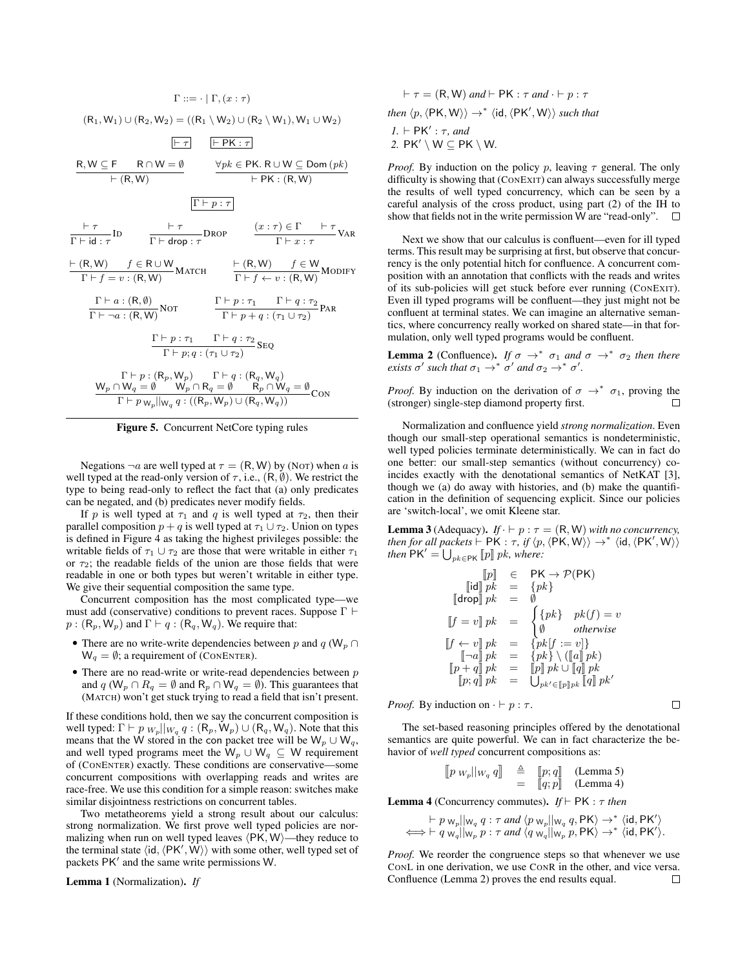

Figure 5. Concurrent NetCore typing rules

Negations  $\neg a$  are well typed at  $\tau = (R, W)$  by (NOT) when a is well typed at the read-only version of  $\tau$ , i.e.,  $(R, \emptyset)$ . We restrict the type to being read-only to reflect the fact that (a) only predicates can be negated, and (b) predicates never modify fields.

If p is well typed at  $\tau_1$  and q is well typed at  $\tau_2$ , then their parallel composition  $p + q$  is well typed at  $\tau_1 \cup \tau_2$ . Union on types is defined in Figure 4 as taking the highest privileges possible: the writable fields of  $\tau_1 \cup \tau_2$  are those that were writable in either  $\tau_1$ or  $\tau_2$ ; the readable fields of the union are those fields that were readable in one or both types but weren't writable in either type. We give their sequential composition the same type.

Concurrent composition has the most complicated type—we must add (conservative) conditions to prevent races. Suppose  $\Gamma \vdash$  $p : (R_p, W_p)$  and  $\Gamma \vdash q : (R_q, W_q)$ . We require that:

- There are no write-write dependencies between p and  $q$  ( $W_p \cap$  $W_q = \emptyset$ ; a requirement of (CONENTER).
- There are no read-write or write-read dependencies between  $p$ and q ( $W_p \cap R_q = \emptyset$  and  $R_p \cap W_q = \emptyset$ ). This guarantees that (MATCH) won't get stuck trying to read a field that isn't present.

If these conditions hold, then we say the concurrent composition is well typed:  $\Gamma \vdash p_{W_p} ||_{W_q} q : (\mathsf{R}_p, \mathsf{W}_p) \cup (\mathsf{R}_q, \mathsf{W}_q)$ . Note that this means that the W stored in the con packet tree will be  $W_p \cup W_q$ , and well typed programs meet the  $\mathsf{W}_p \cup \mathsf{W}_q \subseteq \mathsf{W}$  requirement of (CONENTER) exactly. These conditions are conservative—some concurrent compositions with overlapping reads and writes are race-free. We use this condition for a simple reason: switches make similar disjointness restrictions on concurrent tables.

Two metatheorems yield a strong result about our calculus: strong normalization. We first prove well typed policies are normalizing when run on well typed leaves  $\langle PK, W \rangle$ —they reduce to the terminal state  $\langle id, \langle PK', W \rangle \rangle$  with some other, well typed set of packets PK' and the same write permissions W.

Lemma 1 (Normalization). *If*

 $\vdash \tau = (R, W)$  *and*  $\vdash$  PK :  $\tau$  *and*  $\cdot \vdash p : \tau$  $then \langle p, \langle \mathsf{PK}, \mathsf{W} \rangle \rangle \rightarrow^* \langle \mathsf{id}, \langle \mathsf{PK}', \mathsf{W} \rangle \rangle$  *such that*  $I. \vdash \mathsf{PK}' : \tau$ *, and* 2.  $PK' \setminus W \subseteq PK \setminus W$ .

*Proof.* By induction on the policy p, leaving  $\tau$  general. The only difficulty is showing that (CONEXIT) can always successfully merge the results of well typed concurrency, which can be seen by a careful analysis of the cross product, using part (2) of the IH to show that fields not in the write permission W are "read-only".  $\Box$ 

Next we show that our calculus is confluent—even for ill typed terms. This result may be surprising at first, but observe that concurrency is the only potential hitch for confluence. A concurrent composition with an annotation that conflicts with the reads and writes of its sub-policies will get stuck before ever running (CONEXIT). Even ill typed programs will be confluent—they just might not be confluent at terminal states. We can imagine an alternative semantics, where concurrency really worked on shared state—in that formulation, only well typed programs would be confluent.

**Lemma 2** (Confluence). *If*  $\sigma \rightarrow^* \sigma_1$  *and*  $\sigma \rightarrow^* \sigma_2$  *then there exists*  $\sigma'$  *such that*  $\sigma_1 \rightarrow^* \sigma'$  *and*  $\sigma_2 \rightarrow^* \sigma'$ *.* 

*Proof.* By induction on the derivation of  $\sigma \rightarrow^* \sigma_1$ , proving the (stronger) single-step diamond property first. П

Normalization and confluence yield *strong normalization*. Even though our small-step operational semantics is nondeterministic, well typed policies terminate deterministically. We can in fact do one better: our small-step semantics (without concurrency) coincides exactly with the denotational semantics of NetKAT [3], though we (a) do away with histories, and (b) make the quantification in the definition of sequencing explicit. Since our policies are 'switch-local', we omit Kleene star.

**Lemma 3** (Adequacy). *If*  $\cdot \vdash p : \tau = (R, W)$  *with no concurrency, then for all packets*  $\vdash$  PK :  $\tau$ , *if*  $\langle p, \langle \overrightarrow{PK}, W \rangle \rangle \rightarrow^* \langle \text{id}, \langle \overrightarrow{PK}', W \rangle \rangle$  $then$   $PK' = \bigcup_{pk \in \text{PK}} [p]$   $pk$ *, where:* 

$$
\begin{array}{rcl}\n[p] & \in & \mathsf{PK} \to \mathcal{P}(\mathsf{PK}) \\
[\![\mathbf{id}]\!] pk & = & \{pk\} \\
[\![\mathsf{drop}]\!] pk & = & \emptyset\n\end{array}
$$
\n
$$
\begin{array}{rcl}\n[f = v] pk & = & \left\{\{pk\} & pk(f) = v \right\} \\
[f \leftarrow v] pk & = & \left\{pk[f := v]\right\} \\
[\![\neg a]\!] pk & = & \left\{pk\right\} \setminus ([\![a]\!] pk) \\
[\![p + q]\!] pk & = & \left\{pk\right\} \cup [\![q]\!] pk \\
[\![p; q]\!] pk & = & \bigcup_{pk' \in [\![p]\!]pk} [\![q]\!] pk'\n\end{array}
$$

*Proof.* By induction on  $\cdot \vdash p : \tau$ .

The set-based reasoning principles offered by the denotational semantics are quite powerful. We can in fact characterize the behavior of *well typed* concurrent compositions as:

$$
\begin{array}{rcl}\n\left[ p|_{W_p}||_{W_q} q \right] & \triangleq & \left[ p; q \right] & \text{(Lemma 5)} \\
& = & \left[ q; p \right] & \text{(Lemma 4)}\n\end{array}
$$

**Lemma 4** (Concurrency commutes). *If*  $\vdash$  PK :  $\tau$  *then* 

$$
\leftarrow p \mathop{\mathsf{w}}\nolimits_p||\mathop{\mathsf{w}}\nolimits_q q : \tau \text{ and } \langle p \mathop{\mathsf{w}}\nolimits_p||\mathop{\mathsf{w}}\nolimits_q q, \mathsf{PK} \rangle \to^* \langle \mathop{\mathsf{id}}\nolimits, \mathsf{PK}' \rangle \n\Longleftrightarrow \leftarrow q \mathop{\mathsf{w}}\nolimits_q||\mathop{\mathsf{w}}\nolimits_p p : \tau \text{ and } \langle q \mathop{\mathsf{w}}\nolimits_q||\mathop{\mathsf{w}}\nolimits_p p, \mathsf{PK} \rangle \to^* \langle \mathop{\mathsf{id}}\nolimits, \mathsf{PK}' \rangle.
$$

*Proof.* We reorder the congruence steps so that whenever we use CONL in one derivation, we use CONR in the other, and vice versa. Confluence (Lemma 2) proves the end results equal. $\Box$ 

 $\Box$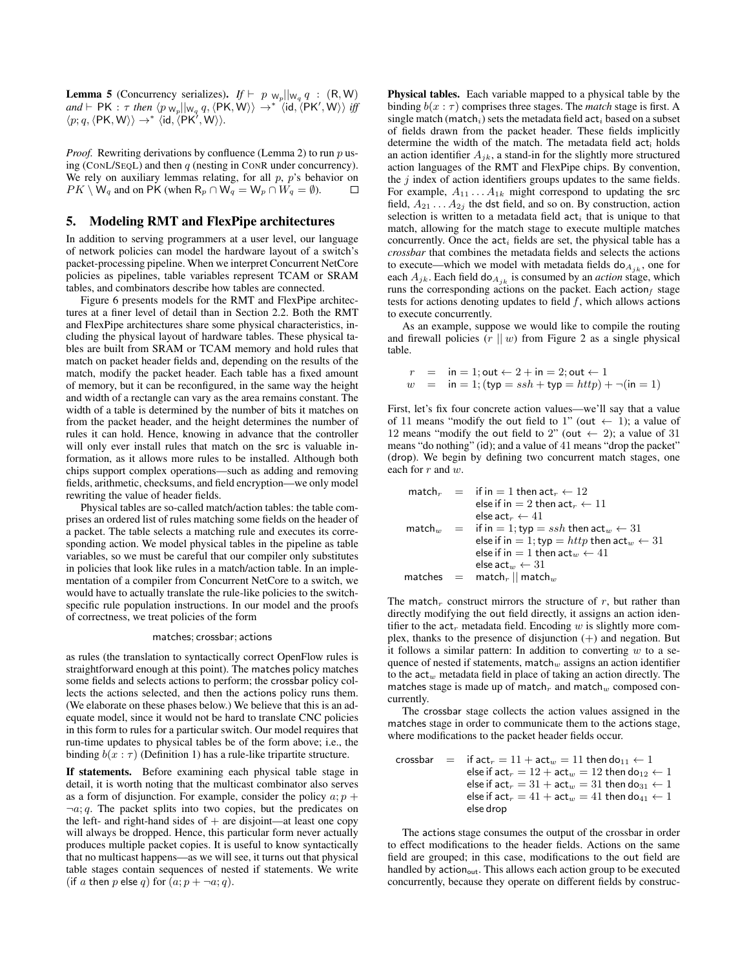**Lemma 5** (Concurrency serializes).  $If \vdash p \le p_{\vert W_q} q : (R, W)$  $and \vdash \, \mathsf{PK} : \tau$  then  $\langle p_{\,W_p} | |_{W_q} \, q, \langle \mathsf{PK}, \mathsf{W} \rangle \rangle \rightarrow^* \overline{\langle \mathsf{id}, \langle \mathsf{PK}', \mathsf{W} \rangle \rangle} \, \mathit{iff}$  $\langle p; q, \langle \mathsf{PK}, \mathsf{W} \rangle \rangle \rightarrow^* \langle \mathsf{id}, \langle \mathsf{PK}^{\prime}, \mathsf{W} \rangle \rangle.$ 

*Proof.* Rewriting derivations by confluence (Lemma 2) to run  $p$  using (CONL/SEQL) and then  $q$  (nesting in CONR under concurrency). We rely on auxiliary lemmas relating, for all  $p$ ,  $p$ 's behavior on  $PK \setminus W_q$  and on PK (when  $R_p \cap W_q = W_p \cap W_q = \emptyset$ ).  $\Box$ 

# 5. Modeling RMT and FlexPipe architectures

In addition to serving programmers at a user level, our language of network policies can model the hardware layout of a switch's packet-processing pipeline. When we interpret Concurrent NetCore policies as pipelines, table variables represent TCAM or SRAM tables, and combinators describe how tables are connected.

Figure 6 presents models for the RMT and FlexPipe architectures at a finer level of detail than in Section 2.2. Both the RMT and FlexPipe architectures share some physical characteristics, including the physical layout of hardware tables. These physical tables are built from SRAM or TCAM memory and hold rules that match on packet header fields and, depending on the results of the match, modify the packet header. Each table has a fixed amount of memory, but it can be reconfigured, in the same way the height and width of a rectangle can vary as the area remains constant. The width of a table is determined by the number of bits it matches on from the packet header, and the height determines the number of rules it can hold. Hence, knowing in advance that the controller will only ever install rules that match on the src is valuable information, as it allows more rules to be installed. Although both chips support complex operations—such as adding and removing fields, arithmetic, checksums, and field encryption—we only model rewriting the value of header fields.

Physical tables are so-called match/action tables: the table comprises an ordered list of rules matching some fields on the header of a packet. The table selects a matching rule and executes its corresponding action. We model physical tables in the pipeline as table variables, so we must be careful that our compiler only substitutes in policies that look like rules in a match/action table. In an implementation of a compiler from Concurrent NetCore to a switch, we would have to actually translate the rule-like policies to the switchspecific rule population instructions. In our model and the proofs of correctness, we treat policies of the form

#### matches; crossbar; actions

as rules (the translation to syntactically correct OpenFlow rules is straightforward enough at this point). The matches policy matches some fields and selects actions to perform; the crossbar policy collects the actions selected, and then the actions policy runs them. (We elaborate on these phases below.) We believe that this is an adequate model, since it would not be hard to translate CNC policies in this form to rules for a particular switch. Our model requires that run-time updates to physical tables be of the form above; i.e., the binding  $b(x : \tau)$  (Definition 1) has a rule-like tripartite structure.

If statements. Before examining each physical table stage in detail, it is worth noting that the multicast combinator also serves as a form of disjunction. For example, consider the policy  $a$ ;  $p$  +  $\neg a$ ; q. The packet splits into two copies, but the predicates on the left- and right-hand sides of  $+$  are disjoint—at least one copy will always be dropped. Hence, this particular form never actually produces multiple packet copies. It is useful to know syntactically that no multicast happens—as we will see, it turns out that physical table stages contain sequences of nested if statements. We write (if a then p else q) for  $(a; p + \neg a; q)$ .

Physical tables. Each variable mapped to a physical table by the binding  $b(x : \tau)$  comprises three stages. The *match* stage is first. A single match (match<sub>i</sub>) sets the metadata field act<sub>i</sub> based on a subset of fields drawn from the packet header. These fields implicitly determine the width of the match. The metadata field act<sub>i</sub> holds an action identifier  $A_{ik}$ , a stand-in for the slightly more structured action languages of the RMT and FlexPipe chips. By convention, the  $j$  index of action identifiers groups updates to the same fields. For example,  $A_{11} \ldots A_{1k}$  might correspond to updating the src field,  $A_{21} \ldots A_{2j}$  the dst field, and so on. By construction, action selection is written to a metadata field  $act<sub>i</sub>$  that is unique to that match, allowing for the match stage to execute multiple matches concurrently. Once the  $act<sub>i</sub>$  fields are set, the physical table has a *crossbar* that combines the metadata fields and selects the actions to execute—which we model with metadata fields  $do_{A_{ik}}$ , one for each  $A_{jk}$ . Each field do<sub> $A_{jk}$ </sub> is consumed by an *action* stage, which runs the corresponding actions on the packet. Each action $_f$  stage tests for actions denoting updates to field  $f$ , which allows actions to execute concurrently.

As an example, suppose we would like to compile the routing and firewall policies  $(r || w)$  from Figure 2 as a single physical table.

$$
r = in = 1; \text{out} \leftarrow 2 + in = 2; \text{out} \leftarrow 1
$$
  

$$
w = in = 1; (\text{typ} = ssh + \text{typ} = http) + \neg(in = 1)
$$

First, let's fix four concrete action values—we'll say that a value of 11 means "modify the out field to 1" (out  $\leftarrow$  1); a value of 12 means "modify the out field to 2" (out  $\leftarrow$  2); a value of 31 means "do nothing" (id); and a value of 41 means "drop the packet" (drop). We begin by defining two concurrent match stages, one each for  $r$  and  $w$ .

$$
\begin{array}{rcl} \mathsf{match}_r & = & \text{if in = 1 then act}_r \leftarrow 12 \\ & & \text{else if in = 2 then act}_r \leftarrow 11 \\ & & \text{else act}_r \leftarrow 41 \\ & & \text{if in = 1; typ = \mathit{ssh} \text{ then act}_w \leftarrow 31} \\ & & \text{else if in = 1; typ = \mathit{http} \text{ then act}_w \leftarrow 31} \\ & & \text{else if in = 1 then act}_w \leftarrow 41 \\ & & \text{else act}_w \leftarrow 31 \\ & & \text{else act}_w \leftarrow 31 \\ & & \text{match}_r \mid \mid \mathsf{match}_w \end{array}
$$

The match<sub>r</sub> construct mirrors the structure of r, but rather than directly modifying the out field directly, it assigns an action identifier to the  $act<sub>r</sub>$  metadata field. Encoding w is slightly more complex, thanks to the presence of disjunction  $(+)$  and negation. But it follows a similar pattern: In addition to converting  $w$  to a sequence of nested if statements, match<sub>w</sub> assigns an action identifier to the  $act_w$  metadata field in place of taking an action directly. The matches stage is made up of match<sub>r</sub> and match<sub>w</sub> composed concurrently.

The crossbar stage collects the action values assigned in the matches stage in order to communicate them to the actions stage, where modifications to the packet header fields occur.

$$
\begin{array}{rcl}\n\text{crossbar} & = & \text{if } \text{act}_r = 11 + \text{act}_w = 11 \text{ then } \text{do}_{11} \leftarrow 1 \\
& \text{else if } \text{act}_r = 12 + \text{act}_w = 12 \text{ then } \text{do}_{12} \leftarrow 1 \\
& \text{else if } \text{act}_r = 31 + \text{act}_w = 31 \text{ then } \text{do}_{31} \leftarrow 1 \\
& \text{else if } \text{act}_r = 41 + \text{act}_w = 41 \text{ then } \text{do}_{41} \leftarrow 1 \\
& \text{else } \text{drop}\n\end{array}
$$

The actions stage consumes the output of the crossbar in order to effect modifications to the header fields. Actions on the same field are grouped; in this case, modifications to the out field are handled by  $\arctan_{\text{out}}$ . This allows each action group to be executed concurrently, because they operate on different fields by construc-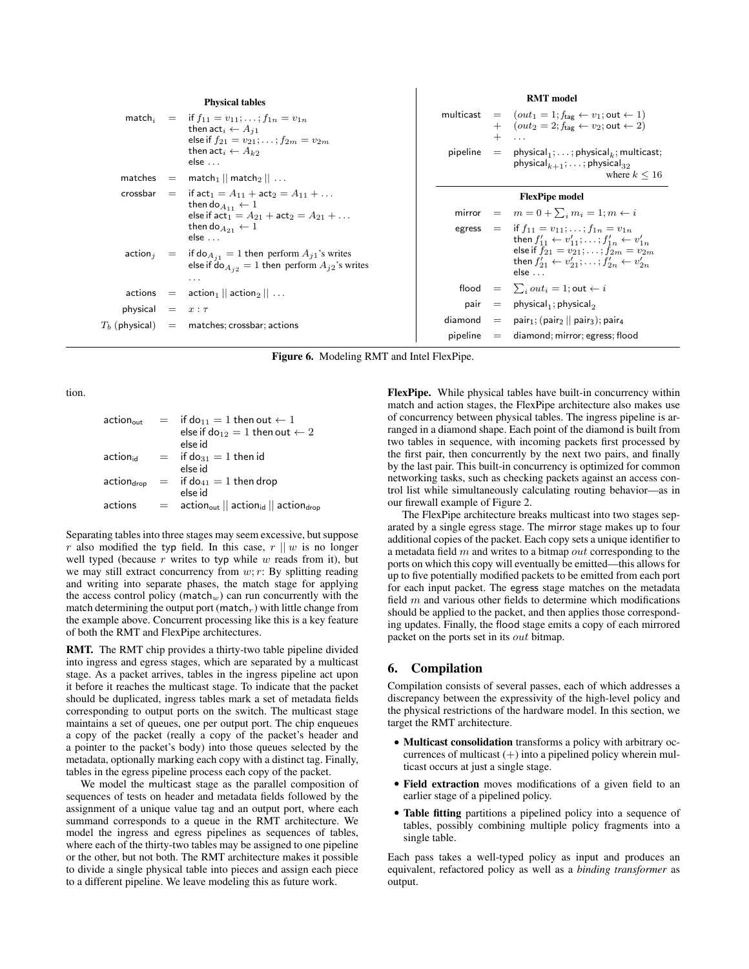|                       | <b>Physical tables</b>                                                                                                                             |  | <b>RMT</b> model                                                                                                                                                                     |
|-----------------------|----------------------------------------------------------------------------------------------------------------------------------------------------|--|--------------------------------------------------------------------------------------------------------------------------------------------------------------------------------------|
|                       | match, = if $f_{11} = v_{11}; \ldots; f_{1n} = v_{1n}$<br>then $\text{act}_i \leftarrow A_{i1}$<br>else if $f_{21} = v_{21}$ ; ; $f_{2m} = v_{2m}$ |  | multicast $= (out_1 = 1; f_{\text{taf}} \leftarrow v_1; \text{out} \leftarrow 1)$<br>$+$ ( <i>out</i> <sub>2</sub> = 2; $f_{\text{tar}} \leftarrow v_2$ ; out $\leftarrow$ 2)<br>$+$ |
|                       | then $\texttt{act}_i \leftarrow A_{k2}$<br>else                                                                                                    |  | pipeline $=$ physical, $\ldots$ ; physical, $\ldots$ ; multicast;<br>physical <sub><math>k+1</math></sub> ; ; physical <sub>32</sub>                                                 |
|                       | matches $=$ match $\ $ match $\  \ldots$                                                                                                           |  | where $k \leq 16$                                                                                                                                                                    |
| crossbar              | $=$ if act <sub>1</sub> = $A_{11}$ + act <sub>2</sub> = $A_{11}$ +<br>then do $A_{11} \leftarrow 1$                                                |  | <b>FlexPipe model</b>                                                                                                                                                                |
|                       | else if $act_1 = A_{21} + act_2 = A_{21} + $                                                                                                       |  | mirror = $m = 0 + \sum_i m_i = 1; m \leftarrow i$                                                                                                                                    |
|                       | then do $A_{21} \leftarrow 1$<br>else                                                                                                              |  | egress = if $f_{11} = v_{11}; \ldots; f_{1n} = v_{1n}$<br>then $f'_{11} \leftarrow v'_{11}; \ldots; f'_{1n} \leftarrow v'_{1n}$                                                      |
|                       | $\text{action}_j = \text{if } \text{do}_{A_{j1}} = 1 \text{ then perform } A_{j1}$ 's writes                                                       |  | else if $f_{21} = v_{21}$ ; ; $f_{2m} = v_{2m}$                                                                                                                                      |
|                       | else if do $A_{i2} = 1$ then perform $A_{i2}$ 's writes<br>$\cdot$                                                                                 |  | then $f'_{21} \leftarrow v'_{21}; \ldots; f'_{2n} \leftarrow v'_{2n}$<br>else $\ldots$                                                                                               |
|                       | $\text{actions} = \text{action}_1    \text{action}_2    \dots$                                                                                     |  | flood = $\sum_i out_i = 1$ ; out $\leftarrow i$                                                                                                                                      |
| physical $= x : \tau$ |                                                                                                                                                    |  | $pair = physical_1; physical_2$                                                                                                                                                      |
|                       | $T_h$ (physical) $=$ matches; crossbar; actions                                                                                                    |  | diamond $=$ pair <sub>1</sub> ; (pair <sub>2</sub> )  pair <sub>3</sub> ); pair <sub>4</sub>                                                                                         |
|                       |                                                                                                                                                    |  | $pi$ pipeline $=$ diamond; mirror; egress; flood                                                                                                                                     |

Figure 6. Modeling RMT and Intel FlexPipe.

tion.

| $action_{out}$ | $=$ | if do <sub>11</sub> = 1 then out $\leftarrow 1$                                                          |
|----------------|-----|----------------------------------------------------------------------------------------------------------|
|                |     | else if do <sub>12</sub> = 1 then out $\leftarrow 2$                                                     |
|                |     | else id                                                                                                  |
| actionid       | $=$ | if $do_{31} = 1$ then id                                                                                 |
|                |     | else id                                                                                                  |
| actiondrop     |     | $=$ if do <sub>41</sub> $=$ 1 then drop                                                                  |
|                |     | else id                                                                                                  |
| actions        | $=$ | $\textsf{action}_{\textsf{out}}$    $\textsf{action}_{\textsf{id}}$    $\textsf{action}_{\textsf{drop}}$ |

Separating tables into three stages may seem excessive, but suppose r also modified the typ field. In this case,  $r \parallel w$  is no longer well typed (because  $r$  writes to typ while  $w$  reads from it), but we may still extract concurrency from  $w; r$ : By splitting reading and writing into separate phases, the match stage for applying the access control policy (match $_w$ ) can run concurrently with the match determining the output port (match<sub>r</sub>) with little change from the example above. Concurrent processing like this is a key feature of both the RMT and FlexPipe architectures.

RMT. The RMT chip provides a thirty-two table pipeline divided into ingress and egress stages, which are separated by a multicast stage. As a packet arrives, tables in the ingress pipeline act upon it before it reaches the multicast stage. To indicate that the packet should be duplicated, ingress tables mark a set of metadata fields corresponding to output ports on the switch. The multicast stage maintains a set of queues, one per output port. The chip enqueues a copy of the packet (really a copy of the packet's header and a pointer to the packet's body) into those queues selected by the metadata, optionally marking each copy with a distinct tag. Finally, tables in the egress pipeline process each copy of the packet.

We model the multicast stage as the parallel composition of sequences of tests on header and metadata fields followed by the assignment of a unique value tag and an output port, where each summand corresponds to a queue in the RMT architecture. We model the ingress and egress pipelines as sequences of tables, where each of the thirty-two tables may be assigned to one pipeline or the other, but not both. The RMT architecture makes it possible to divide a single physical table into pieces and assign each piece to a different pipeline. We leave modeling this as future work.

FlexPipe. While physical tables have built-in concurrency within match and action stages, the FlexPipe architecture also makes use of concurrency between physical tables. The ingress pipeline is arranged in a diamond shape. Each point of the diamond is built from two tables in sequence, with incoming packets first processed by the first pair, then concurrently by the next two pairs, and finally by the last pair. This built-in concurrency is optimized for common networking tasks, such as checking packets against an access control list while simultaneously calculating routing behavior—as in our firewall example of Figure 2.

The FlexPipe architecture breaks multicast into two stages separated by a single egress stage. The mirror stage makes up to four additional copies of the packet. Each copy sets a unique identifier to a metadata field  $m$  and writes to a bitmap  $out$  corresponding to the ports on which this copy will eventually be emitted—this allows for up to five potentially modified packets to be emitted from each port for each input packet. The egress stage matches on the metadata field  $m$  and various other fields to determine which modifications should be applied to the packet, and then applies those corresponding updates. Finally, the flood stage emits a copy of each mirrored packet on the ports set in its out bitmap.

## 6. Compilation

Compilation consists of several passes, each of which addresses a discrepancy between the expressivity of the high-level policy and the physical restrictions of the hardware model. In this section, we target the RMT architecture.

- Multicast consolidation transforms a policy with arbitrary occurrences of multicast  $(+)$  into a pipelined policy wherein multicast occurs at just a single stage.
- Field extraction moves modifications of a given field to an earlier stage of a pipelined policy.
- Table fitting partitions a pipelined policy into a sequence of tables, possibly combining multiple policy fragments into a single table.

Each pass takes a well-typed policy as input and produces an equivalent, refactored policy as well as a *binding transformer* as output.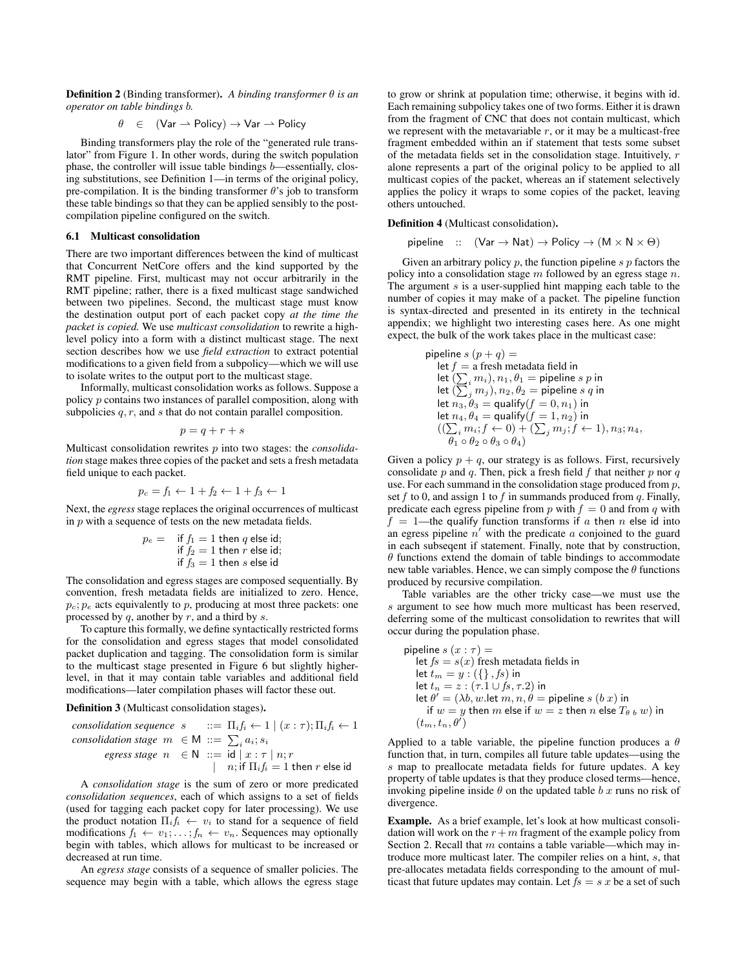Definition 2 (Binding transformer). *A binding transformer* θ *is an operator on table bindings* b*.*

$$
\theta \in (\text{Var} \rightarrow \text{Policy}) \rightarrow \text{Var} \rightarrow \text{Policy}
$$

Binding transformers play the role of the "generated rule translator" from Figure 1. In other words, during the switch population phase, the controller will issue table bindings b—essentially, closing substitutions, see Definition 1—in terms of the original policy, pre-compilation. It is the binding transformer  $\theta$ 's job to transform these table bindings so that they can be applied sensibly to the postcompilation pipeline configured on the switch.

#### 6.1 Multicast consolidation

There are two important differences between the kind of multicast that Concurrent NetCore offers and the kind supported by the RMT pipeline. First, multicast may not occur arbitrarily in the RMT pipeline; rather, there is a fixed multicast stage sandwiched between two pipelines. Second, the multicast stage must know the destination output port of each packet copy *at the time the packet is copied.* We use *multicast consolidation* to rewrite a highlevel policy into a form with a distinct multicast stage. The next section describes how we use *field extraction* to extract potential modifications to a given field from a subpolicy—which we will use to isolate writes to the output port to the multicast stage.

Informally, multicast consolidation works as follows. Suppose a policy p contains two instances of parallel composition, along with subpolicies  $q, r$ , and  $s$  that do not contain parallel composition.

$$
p = q + r + s
$$

Multicast consolidation rewrites p into two stages: the *consolidation* stage makes three copies of the packet and sets a fresh metadata field unique to each packet.

$$
p_c = f_1 \leftarrow 1 + f_2 \leftarrow 1 + f_3 \leftarrow 1
$$

Next, the *egress* stage replaces the original occurrences of multicast in  $p$  with a sequence of tests on the new metadata fields.

$$
p_e = \text{if } f_1 = 1 \text{ then } q \text{ else id};
$$
  
if  $f_2 = 1 \text{ then } r \text{ else id};$   
if  $f_3 = 1 \text{ then } s \text{ else id}$ 

The consolidation and egress stages are composed sequentially. By convention, fresh metadata fields are initialized to zero. Hence,  $p_c$ ;  $p_e$  acts equivalently to p, producing at most three packets: one processed by  $q$ , another by  $r$ , and a third by  $s$ .

To capture this formally, we define syntactically restricted forms for the consolidation and egress stages that model consolidated packet duplication and tagging. The consolidation form is similar to the multicast stage presented in Figure 6 but slightly higherlevel, in that it may contain table variables and additional field modifications—later compilation phases will factor these out.

Definition 3 (Multicast consolidation stages).

\n
$$
\text{considering sequence } s \quad ::= \Pi_i f_i \leftarrow 1 \mid (x : \tau); \Pi_i f_i \leftarrow 1
$$
\n

\n\n
$$
\text{considering range } m \in \mathbb{M} \ ::= \sum_i a_i; s_i
$$
\n

\n\n
$$
\text{egress stage } n \in \mathbb{N} \ ::= \text{id} \mid x : \tau \mid n; r
$$
\n

\n\n
$$
n; \text{if } \Pi_i f_i = 1 \text{ then } r \text{ else } \text{id}
$$
\n

A *consolidation stage* is the sum of zero or more predicated *consolidation sequences*, each of which assigns to a set of fields (used for tagging each packet copy for later processing). We use the product notation  $\Pi_i f_i \leftarrow v_i$  to stand for a sequence of field modifications  $f_1 \leftarrow v_1; \ldots; f_n \leftarrow v_n$ . Sequences may optionally begin with tables, which allows for multicast to be increased or decreased at run time.

An *egress stage* consists of a sequence of smaller policies. The sequence may begin with a table, which allows the egress stage to grow or shrink at population time; otherwise, it begins with id. Each remaining subpolicy takes one of two forms. Either it is drawn from the fragment of CNC that does not contain multicast, which we represent with the metavariable  $r$ , or it may be a multicast-free fragment embedded within an if statement that tests some subset of the metadata fields set in the consolidation stage. Intuitively,  $r$ alone represents a part of the original policy to be applied to all multicast copies of the packet, whereas an if statement selectively applies the policy it wraps to some copies of the packet, leaving others untouched.

Definition 4 (Multicast consolidation).

pipeline ::  $(Var \rightarrow Nat) \rightarrow Policy \rightarrow (M \times N \times \Theta)$ 

Given an arbitrary policy  $p$ , the function pipeline  $s$   $p$  factors the policy into a consolidation stage  $m$  followed by an egress stage  $n$ . The argument  $s$  is a user-supplied hint mapping each table to the number of copies it may make of a packet. The pipeline function is syntax-directed and presented in its entirety in the technical appendix; we highlight two interesting cases here. As one might expect, the bulk of the work takes place in the multicast case:

\n
$$
p + q =
$$
\n $f = a$  fresh metadata field in\n  $det\left(\sum_i m_i\right), n_1, \theta_1 =$ \n $p =$ \n $det\left(\sum_i m_i\right), n_2, \theta_2 =$ \n $p =$ \n $p =$ \n $p =$ \n $p =$ \n $p =$ \n $p =$ \n $p =$ \n $p =$ \n $p =$ \n $p =$ \n $p =$ \n $p =$ \n $p =$ \n $p =$ \n $p =$ \n $p =$ \n $p =$ \n $p =$ \n $p =$ \n $p =$ \n $p =$ \n $p =$ \n $p =$ \n $p =$ \n $p =$ \n $p =$ \n $p =$ \n $p =$ \n $p =$ \n $p =$ \n $p =$ \n $p =$ \n $p =$ \n $p =$ \n $p =$ \n $p =$ \n $p =$ \n $p =$ \n $p =$ \n $p =$ \n $p =$ \n $p =$ \n $p =$ \n $p =$ \n $p =$ \n $p =$ \n $p =$ \n $p =$ \n $p =$ \n $p =$ \n $p =$ \n $p =$ \n $p =$ \n $p =$ \n $p =$ 

Given a policy  $p + q$ , our strategy is as follows. First, recursively consolidate  $p$  and  $q$ . Then, pick a fresh field  $f$  that neither  $p$  nor  $q$ use. For each summand in the consolidation stage produced from p, set  $f$  to 0, and assign 1 to  $f$  in summands produced from  $q$ . Finally, predicate each egress pipeline from  $p$  with  $f = 0$  and from  $q$  with  $f = 1$ —the qualify function transforms if a then n else id into an egress pipeline  $n'$  with the predicate a conjoined to the guard in each subseqent if statement. Finally, note that by construction,  $\theta$  functions extend the domain of table bindings to accommodate new table variables. Hence, we can simply compose the  $\theta$  functions produced by recursive compilation.

Table variables are the other tricky case—we must use the s argument to see how much more multicast has been reserved, deferring some of the multicast consolidation to rewrites that will occur during the population phase.

pipeline s (x : τ ) = let fs = s(x) fresh metadata fields in let t<sup>m</sup> = y : ({} , fs) in let t<sup>n</sup> = z : (τ.1 ∪ fs, τ.2) in let θ <sup>0</sup> = (λb, w.let m, n, θ = pipeline s (b x) in if w = y then m else if w = z then n else Tθ b w) in (tm, tn, θ<sup>0</sup> )

Applied to a table variable, the pipeline function produces a  $\theta$ function that, in turn, compiles all future table updates—using the s map to preallocate metadata fields for future updates. A key property of table updates is that they produce closed terms—hence, invoking pipeline inside  $\theta$  on the updated table b x runs no risk of divergence.

Example. As a brief example, let's look at how multicast consolidation will work on the  $r+m$  fragment of the example policy from Section 2. Recall that m contains a table variable—which may introduce more multicast later. The compiler relies on a hint, s, that pre-allocates metadata fields corresponding to the amount of multicast that future updates may contain. Let  $fs = s x$  be a set of such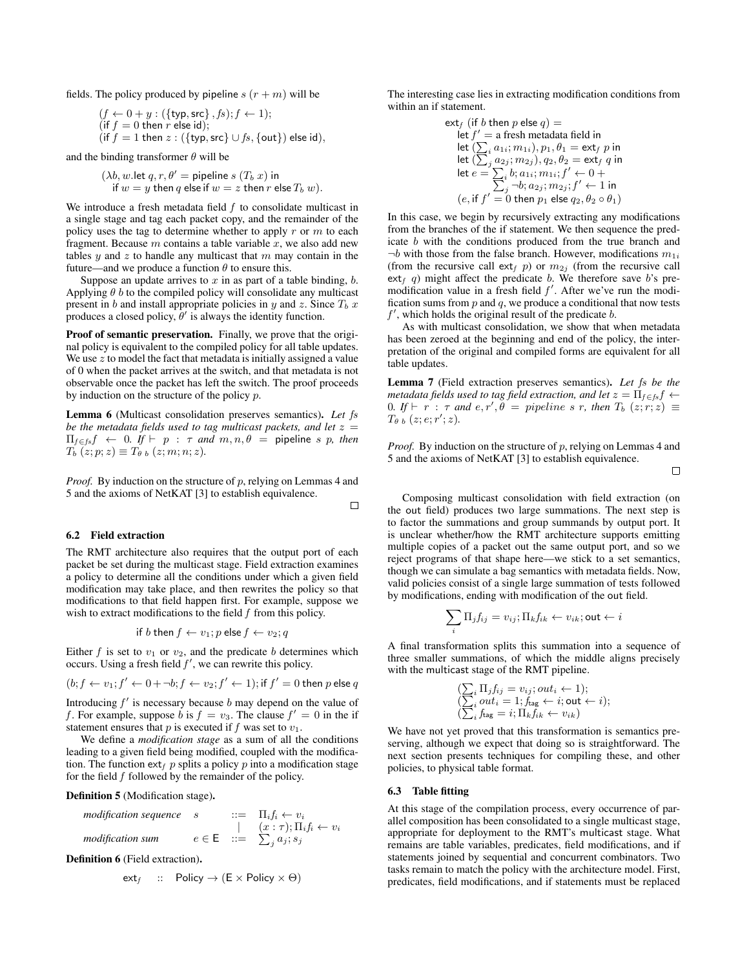fields. The policy produced by pipeline  $s(r + m)$  will be

$$
(f \leftarrow 0 + y : (\{\text{typ, src}\}, fs); f \leftarrow 1);
$$
  
(if  $f = 0$  then  $r$  else id);  
(if  $f = 1$  then  $z : (\{\text{typ, src}\} \cup fs, \{\text{out}\})$  else id),

and the binding transformer  $\theta$  will be

$$
(\lambda b, w.\text{let } q, r, \theta' = \text{ pipeline } s (T_b x) \text{ in } \\ \text{if } w = y \text{ then } q \text{ else if } w = z \text{ then } r \text{ else } T_b w).
$$

We introduce a fresh metadata field  $f$  to consolidate multicast in a single stage and tag each packet copy, and the remainder of the policy uses the tag to determine whether to apply  $r$  or  $m$  to each fragment. Because  $m$  contains a table variable  $x$ , we also add new tables  $y$  and  $z$  to handle any multicast that  $m$  may contain in the future—and we produce a function  $\theta$  to ensure this.

Suppose an update arrives to  $x$  in as part of a table binding,  $b$ . Applying  $\theta$  b to the compiled policy will consolidate any multicast present in b and install appropriate policies in y and z. Since  $T_b$  x produces a closed policy,  $\hat{\theta}'$  is always the identity function.

Proof of semantic preservation. Finally, we prove that the original policy is equivalent to the compiled policy for all table updates. We use  $z$  to model the fact that metadata is initially assigned a value of 0 when the packet arrives at the switch, and that metadata is not observable once the packet has left the switch. The proof proceeds by induction on the structure of the policy  $p$ .

Lemma 6 (Multicast consolidation preserves semantics). *Let* fs *be the metadata fields used to tag multicast packets, and let*  $z =$  $\Pi_{f \in fs} f \leftarrow 0$ *.* If  $\vdash p : \tau$  *and*  $m, n, \theta =$  pipeline *s* p, then  $T_b(z;p;z) \equiv T_{\theta b}(z;m;n;z)$ .

*Proof.* By induction on the structure of p, relying on Lemmas 4 and 5 and the axioms of NetKAT [3] to establish equivalence.

#### 6.2 Field extraction

The RMT architecture also requires that the output port of each packet be set during the multicast stage. Field extraction examines a policy to determine all the conditions under which a given field modification may take place, and then rewrites the policy so that modifications to that field happen first. For example, suppose we wish to extract modifications to the field  $f$  from this policy.

if *b* then 
$$
f \leftarrow v_1
$$
; *p* else  $f \leftarrow v_2$ ; *q*

Either f is set to  $v_1$  or  $v_2$ , and the predicate b determines which occurs. Using a fresh field  $f'$ , we can rewrite this policy.

$$
(b; f \leftarrow v_1; f' \leftarrow 0 + \neg b; f \leftarrow v_2; f' \leftarrow 1); \text{if } f' = 0 \text{ then } p \text{ else } q
$$

Introducing  $f'$  is necessary because b may depend on the value of f. For example, suppose b is  $f = v_3$ . The clause  $f' = 0$  in the if statement ensures that  $p$  is executed if  $f$  was set to  $v_1$ .

We define a *modification stage* as a sum of all the conditions leading to a given field being modified, coupled with the modification. The function ext<sub>f</sub> p splits a policy p into a modification stage for the field  $f$  followed by the remainder of the policy.

Definition 5 (Modification stage).

*modification sequence* s 
$$
\begin{array}{ccc}\n::= & \prod_i f_i \leftarrow v_i \\
\mid & (x:\tau);\Pi_i f_i \leftarrow v_i \\
\mid & \sum_j a_j; s_j\n\end{array}
$$
\n*modification sum*  $e \in \mathsf{E}$   $\therefore$   $\sum_j a_j; s_j$ 

Definition 6 (Field extraction).

$$
ext_f :: Policy \rightarrow (E \times Policy \times \Theta)
$$

The interesting case lies in extracting modification conditions from within an if statement.

$$
\begin{array}{l} \mathsf{ext}_f \ (\text{if } b \ \text{then } p \ \text{else } q) = \\ \mathsf{let} \ f' = \text{a fresh metadata field in} \\ \mathsf{let} \ (\sum_i a_{1i}; m_{1i}), p_1, \theta_1 = \mathsf{ext}_f \ p \ \text{in} \\ \mathsf{let} \ (\sum_j a_{2j}; m_{2j}), q_2, \theta_2 = \mathsf{ext}_f \ q \ \text{in} \\ \mathsf{let} \ e = \sum_i b; a_{1i}; m_{1i}; f' \leftarrow 0 + \\ \sum_j -b; a_{2j}; m_{2j}; f' \leftarrow 1 \ \text{in} \\ (e, \text{if } f' = 0 \ \text{then } p_1 \ \text{else } q_2, \theta_2 \circ \theta_1)\end{array}
$$

In this case, we begin by recursively extracting any modifications from the branches of the if statement. We then sequence the predicate b with the conditions produced from the true branch and  $\neg b$  with those from the false branch. However, modifications  $m_{1i}$ (from the recursive call ext<sub>f</sub> p) or  $m_{2j}$  (from the recursive call ext<sub>f</sub> q) might affect the predicate b. We therefore save b's premodification value in a fresh field  $f'$ . After we've run the modification sums from  $p$  and  $q$ , we produce a conditional that now tests  $f'$ , which holds the original result of the predicate  $b$ .

As with multicast consolidation, we show that when metadata has been zeroed at the beginning and end of the policy, the interpretation of the original and compiled forms are equivalent for all table updates.

Lemma 7 (Field extraction preserves semantics). *Let* fs *be the metadata fields used to tag field extraction, and let*  $z = \prod_{f \in fs} f \leftarrow$ 0*.* If  $\vdash$  r :  $\tau$  and  $e, r', \theta = pipeline s$  r, then  $T_b$   $(z; r; z) \equiv$  $T_{\theta b} (z; e; r'; z)$ .

*Proof.* By induction on the structure of p, relying on Lemmas 4 and 5 and the axioms of NetKAT [3] to establish equivalence.

 $\Box$ 

Composing multicast consolidation with field extraction (on the out field) produces two large summations. The next step is to factor the summations and group summands by output port. It is unclear whether/how the RMT architecture supports emitting multiple copies of a packet out the same output port, and so we reject programs of that shape here—we stick to a set semantics, though we can simulate a bag semantics with metadata fields. Now, valid policies consist of a single large summation of tests followed by modifications, ending with modification of the out field.

$$
\sum_i \Pi_j f_{ij} = v_{ij}; \Pi_k f_{ik} \leftarrow v_{ik}; \text{out} \leftarrow i
$$

A final transformation splits this summation into a sequence of three smaller summations, of which the middle aligns precisely with the multicast stage of the RMT pipeline.

$$
\begin{array}{l} (\sum_i \Pi_j f_{ij} = v_{ij}; out_i \leftarrow 1); \\ (\sum_i out_i = 1; f_{\text{tag}} \leftarrow i; \text{out} \leftarrow i); \\ (\sum_i f_{\text{tag}} = i; \Pi_k f_{ik} \leftarrow v_{ik}) \end{array}
$$

We have not yet proved that this transformation is semantics preserving, although we expect that doing so is straightforward. The next section presents techniques for compiling these, and other policies, to physical table format.

#### 6.3 Table fitting

 $\Box$ 

At this stage of the compilation process, every occurrence of parallel composition has been consolidated to a single multicast stage, appropriate for deployment to the RMT's multicast stage. What remains are table variables, predicates, field modifications, and if statements joined by sequential and concurrent combinators. Two tasks remain to match the policy with the architecture model. First, predicates, field modifications, and if statements must be replaced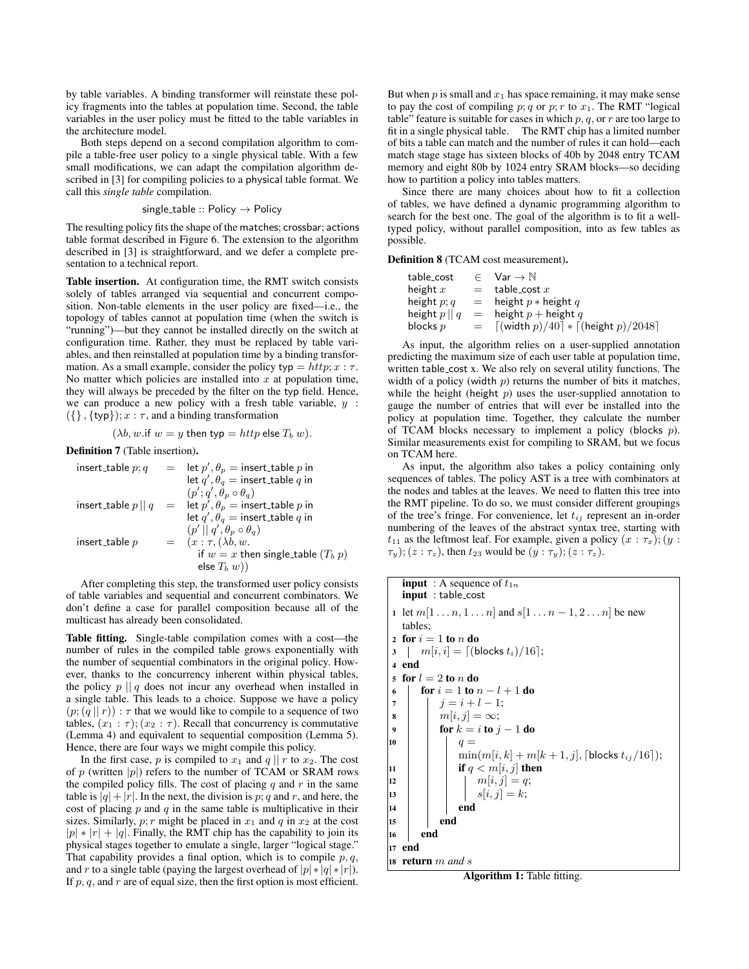by table variables. A binding transformer will reinstate these policy fragments into the tables at population time. Second, the table variables in the user policy must be fitted to the table variables in the architecture model.

Both steps depend on a second compilation algorithm to compile a table-free user policy to a single physical table. With a few small modifications, we can adapt the compilation algorithm described in [3] for compiling policies to a physical table format. We call this *single table* compilation.

#### single\_table  $::$  Policy  $\rightarrow$  Policy

The resulting policy fits the shape of the matches; crossbar; actions table format described in Figure 6. The extension to the algorithm described in [3] is straightforward, and we defer a complete presentation to a technical report.

Table insertion. At configuration time, the RMT switch consists solely of tables arranged via sequential and concurrent composition. Non-table elements in the user policy are fixed—i.e., the topology of tables cannot at population time (when the switch is "running")—but they cannot be installed directly on the switch at configuration time. Rather, they must be replaced by table variables, and then reinstalled at population time by a binding transformation. As a small example, consider the policy  $\tt typ = http; x : τ.$ No matter which policies are installed into  $x$  at population time, they will always be preceded by the filter on the typ field. Hence, we can produce a new policy with a fresh table variable,  $y$ :  $({}, \{ \{ \} , \{ \{ \} \})$ ;  $x : \tau$ , and a binding transformation

$$
(\lambda b, w \text{ if } w = y \text{ then typ} = h \text{ tr } p \text{ else } T_b w).
$$

Definition 7 (Table insertion).

| insert_table $p$ ; q    | $=$ | let $p', \theta_p$ = insert_table p in |
|-------------------------|-----|----------------------------------------|
|                         |     | let $q', \theta_q$ = insert_table q in |
|                         |     | $(p';q',\theta_p \circ \theta_q)$      |
| insert_table $p \mid q$ | $=$ | let $p', \theta_p$ = insert_table p in |
|                         |     | let $q', \theta_q$ = insert_table q in |
|                         |     | $(p'    q', \theta_p \circ \theta_q)$  |
| insert_table $p$        |     | $= (x : \tau, (\lambda b, w,$          |
|                         |     | if $w = x$ then single_table $(T_b p)$ |
|                         |     | else $T_b(w)$                          |

After completing this step, the transformed user policy consists of table variables and sequential and concurrent combinators. We don't define a case for parallel composition because all of the multicast has already been consolidated.

Table fitting. Single-table compilation comes with a cost—the number of rules in the compiled table grows exponentially with the number of sequential combinators in the original policy. However, thanks to the concurrency inherent within physical tables, the policy  $p \parallel q$  does not incur any overhead when installed in a single table. This leads to a choice. Suppose we have a policy  $(p; (q || r)) : \tau$  that we would like to compile to a sequence of two tables,  $(x_1 : \tau)$ ;  $(x_2 : \tau)$ . Recall that concurrency is commutative (Lemma 4) and equivalent to sequential composition (Lemma 5). Hence, there are four ways we might compile this policy.

In the first case, p is compiled to  $x_1$  and  $q \mid r$  to  $x_2$ . The cost of p (written  $|p|$ ) refers to the number of TCAM or SRAM rows the compiled policy fills. The cost of placing  $q$  and  $r$  in the same table is  $|q|+|r|$ . In the next, the division is p; q and r, and here, the cost of placing  $p$  and  $q$  in the same table is multiplicative in their sizes. Similarly,  $p; r$  might be placed in  $x_1$  and  $q$  in  $x_2$  at the cost  $|p| * |r| + |q|$ . Finally, the RMT chip has the capability to join its physical stages together to emulate a single, larger "logical stage." That capability provides a final option, which is to compile  $p, q$ , and r to a single table (paying the largest overhead of  $|p| * |q| * |r|$ ). If  $p, q$ , and  $r$  are of equal size, then the first option is most efficient.

But when  $p$  is small and  $x_1$  has space remaining, it may make sense to pay the cost of compiling p; q or p; r to  $x_1$ . The RMT "logical table" feature is suitable for cases in which  $p, q$ , or  $r$  are too large to fit in a single physical table. The RMT chip has a limited number of bits a table can match and the number of rules it can hold—each match stage stage has sixteen blocks of 40b by 2048 entry TCAM memory and eight 80b by 1024 entry SRAM blocks—so deciding how to partition a policy into tables matters.

Since there are many choices about how to fit a collection of tables, we have defined a dynamic programming algorithm to search for the best one. The goal of the algorithm is to fit a welltyped policy, without parallel composition, into as few tables as possible.

Definition 8 (TCAM cost measurement).

| table_cost       | $\in$ Var $\rightarrow \mathbb{N}$           |
|------------------|----------------------------------------------|
| height $x$       | $=$ table_cost x                             |
| height $p$ ; $q$ | $=$ height $p *$ height q                    |
| height $p  q$    | $=$ height $p +$ height q                    |
| blocks $p$       | $=$ [(width $p)/40$ ] * [(height $p)/2048$ ] |

As input, the algorithm relies on a user-supplied annotation predicting the maximum size of each user table at population time, written table\_cost x. We also rely on several utility functions. The width of a policy (width  $p$ ) returns the number of bits it matches, while the height (height  $p$ ) uses the user-supplied annotation to gauge the number of entries that will ever be installed into the policy at population time. Together, they calculate the number of TCAM blocks necessary to implement a policy (blocks  $p$ ). Similar measurements exist for compiling to SRAM, but we focus on TCAM here.

As input, the algorithm also takes a policy containing only sequences of tables. The policy AST is a tree with combinators at the nodes and tables at the leaves. We need to flatten this tree into the RMT pipeline. To do so, we must consider different groupings of the tree's fringe. For convenience, let  $t_{ij}$  represent an in-order numbering of the leaves of the abstract syntax tree, starting with  $t_{11}$  as the leftmost leaf. For example, given a policy  $(x : \tau_x)(y :$  $(\tau_y)$ ;  $(z : \tau_z)$ , then  $t_{23}$  would be  $(y : \tau_y)$ ;  $(z : \tau_z)$ .

| <b>input</b> : A sequence of $t_{1n}$                    |  |  |
|----------------------------------------------------------|--|--|
| <b>input</b> : table_cost                                |  |  |
| 1 let $m[1n, 1n]$ and $s[1n - 1, 2n]$ be new             |  |  |
| tables;                                                  |  |  |
| 2 for $i=1$ to n do                                      |  |  |
| 3   $m[i, i] = [(blocks t_i)/16];$                       |  |  |
| 4 end                                                    |  |  |
| for $l=2$ to n do                                        |  |  |
| for $i=1$ to $n-l+1$ do                                  |  |  |
| $i = i + l - 1;$                                         |  |  |
| $m[i, j] = \infty;$                                      |  |  |
| for $k = i$ to $j - 1$ do                                |  |  |
| $q =$                                                    |  |  |
| $\min(m[i, k] + m[k + 1, j],$ [blocks $t_{ij}/16$ ]);    |  |  |
| if $q < m[i, j]$ then                                    |  |  |
| $\begin{array}{c} m[i,j] = q;\\ s[i,j] = k; \end{array}$ |  |  |
|                                                          |  |  |
| end                                                      |  |  |
| end                                                      |  |  |
| end                                                      |  |  |
| 17 end                                                   |  |  |
| 18 <b>return</b> $m$ and $s$                             |  |  |
|                                                          |  |  |

Algorithm 1: Table fitting.